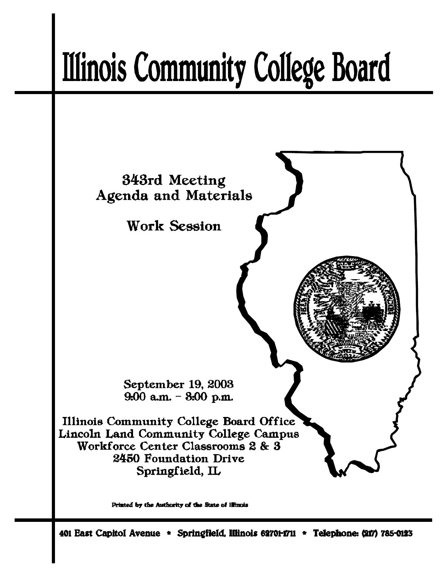# **Illinois Community College Board**



Printed by the Authority of the State of Illinois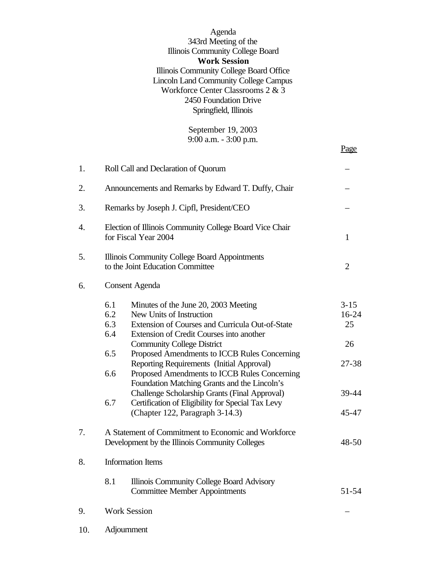| Agenda                                       |
|----------------------------------------------|
| 343rd Meeting of the                         |
| Illinois Community College Board             |
| <b>Work Session</b>                          |
| Illinois Community College Board Office      |
| <b>Lincoln Land Community College Campus</b> |
| Workforce Center Classrooms 2 & 3            |
| 2450 Foundation Drive                        |
| Springfield, Illinois                        |
|                                              |

September 19, 2003 9:00 a.m. - 3:00 p.m.

Page

| 1.  | Roll Call and Declaration of Quorum                                               |                                                                                                                                                                                                                                                                                                                                                                                                                                                                                                                                            |                                                        |  |
|-----|-----------------------------------------------------------------------------------|--------------------------------------------------------------------------------------------------------------------------------------------------------------------------------------------------------------------------------------------------------------------------------------------------------------------------------------------------------------------------------------------------------------------------------------------------------------------------------------------------------------------------------------------|--------------------------------------------------------|--|
| 2.  | Announcements and Remarks by Edward T. Duffy, Chair                               |                                                                                                                                                                                                                                                                                                                                                                                                                                                                                                                                            |                                                        |  |
| 3.  | Remarks by Joseph J. Cipfl, President/CEO                                         |                                                                                                                                                                                                                                                                                                                                                                                                                                                                                                                                            |                                                        |  |
| 4.  | Election of Illinois Community College Board Vice Chair<br>for Fiscal Year 2004   | 1                                                                                                                                                                                                                                                                                                                                                                                                                                                                                                                                          |                                                        |  |
| 5.  | Illinois Community College Board Appointments<br>to the Joint Education Committee |                                                                                                                                                                                                                                                                                                                                                                                                                                                                                                                                            |                                                        |  |
| 6.  |                                                                                   | <b>Consent Agenda</b>                                                                                                                                                                                                                                                                                                                                                                                                                                                                                                                      |                                                        |  |
|     | 6.1<br>6.2<br>6.3<br>6.4<br>6.5<br>6.6<br>6.7                                     | Minutes of the June 20, 2003 Meeting<br>New Units of Instruction<br>Extension of Courses and Curricula Out-of-State<br>Extension of Credit Courses into another<br><b>Community College District</b><br>Proposed Amendments to ICCB Rules Concerning<br>Reporting Requirements (Initial Approval)<br>Proposed Amendments to ICCB Rules Concerning<br>Foundation Matching Grants and the Lincoln's<br>Challenge Scholarship Grants (Final Approval)<br>Certification of Eligibility for Special Tax Levy<br>(Chapter 122, Paragraph 3-14.3) | $3-15$<br>16-24<br>25<br>26<br>27-38<br>39-44<br>45-47 |  |
| 7.  |                                                                                   | A Statement of Commitment to Economic and Workforce<br>Development by the Illinois Community Colleges                                                                                                                                                                                                                                                                                                                                                                                                                                      | 48-50                                                  |  |
| 8.  |                                                                                   | <b>Information Items</b>                                                                                                                                                                                                                                                                                                                                                                                                                                                                                                                   |                                                        |  |
|     | 8.1                                                                               | Illinois Community College Board Advisory<br><b>Committee Member Appointments</b>                                                                                                                                                                                                                                                                                                                                                                                                                                                          | 51-54                                                  |  |
| 9.  | <b>Work Session</b>                                                               |                                                                                                                                                                                                                                                                                                                                                                                                                                                                                                                                            |                                                        |  |
| 10. |                                                                                   | Adjournment                                                                                                                                                                                                                                                                                                                                                                                                                                                                                                                                |                                                        |  |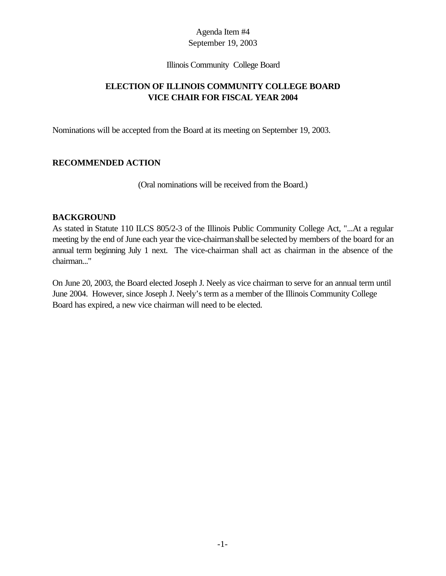#### Illinois Community College Board

# **ELECTION OF ILLINOIS COMMUNITY COLLEGE BOARD VICE CHAIR FOR FISCAL YEAR 2004**

Nominations will be accepted from the Board at its meeting on September 19, 2003.

# **RECOMMENDED ACTION**

(Oral nominations will be received from the Board.)

## **BACKGROUND**

As stated in Statute 110 ILCS 805/2-3 of the Illinois Public Community College Act, "...At a regular meeting by the end of June each year the vice-chairmanshall be selected by members of the board for an annual term beginning July 1 next. The vice-chairman shall act as chairman in the absence of the chairman..."

On June 20, 2003, the Board elected Joseph J. Neely as vice chairman to serve for an annual term until June 2004. However, since Joseph J. Neely's term as a member of the Illinois Community College Board has expired, a new vice chairman will need to be elected.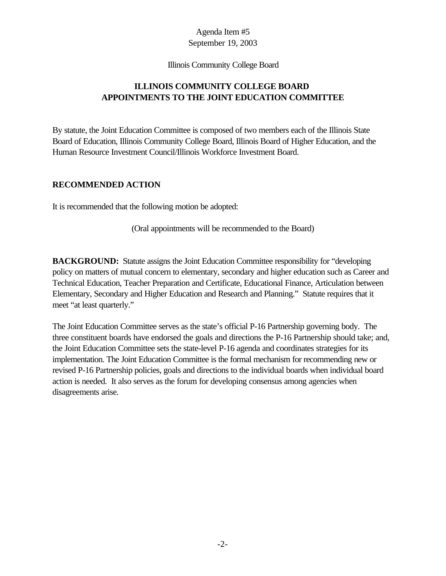#### Illinois Community College Board

# **ILLINOIS COMMUNITY COLLEGE BOARD APPOINTMENTS TO THE JOINT EDUCATION COMMITTEE**

By statute, the Joint Education Committee is composed of two members each of the Illinois State Board of Education, Illinois Community College Board, Illinois Board of Higher Education, and the Human Resource Investment Council/Illinois Workforce Investment Board.

#### **RECOMMENDED ACTION**

It is recommended that the following motion be adopted:

(Oral appointments will be recommended to the Board)

**BACKGROUND:** Statute assigns the Joint Education Committee responsibility for "developing" policy on matters of mutual concern to elementary, secondary and higher education such as Career and Technical Education, Teacher Preparation and Certificate, Educational Finance, Articulation between Elementary, Secondary and Higher Education and Research and Planning." Statute requires that it meet "at least quarterly."

The Joint Education Committee serves as the state's official P-16 Partnership governing body. The three constituent boards have endorsed the goals and directions the P-16 Partnership should take; and, the Joint Education Committee sets the state-level P-16 agenda and coordinates strategies for its implementation. The Joint Education Committee is the formal mechanism for recommending new or revised P-16 Partnership policies, goals and directions to the individual boards when individual board action is needed. It also serves as the forum for developing consensus among agencies when disagreements arise.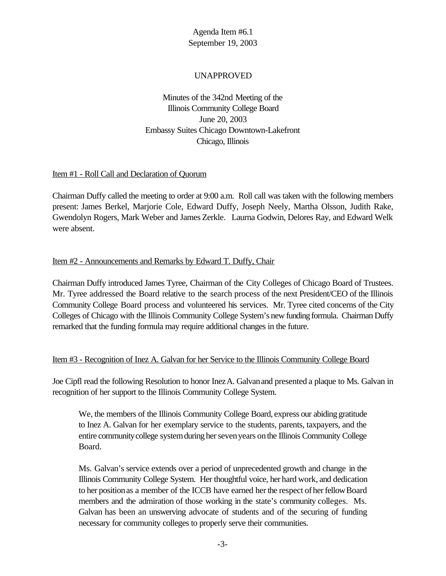# UNAPPROVED

Minutes of the 342nd Meeting of the Illinois Community College Board June 20, 2003 Embassy Suites Chicago Downtown-Lakefront Chicago, Illinois

## Item #1 - Roll Call and Declaration of Quorum

Chairman Duffy called the meeting to order at 9:00 a.m. Roll call was taken with the following members present: James Berkel, Marjorie Cole, Edward Duffy, Joseph Neely, Martha Olsson, Judith Rake, Gwendolyn Rogers, Mark Weber and James Zerkle. Laurna Godwin, Delores Ray, and Edward Welk were absent.

## Item #2 - Announcements and Remarks by Edward T. Duffy, Chair

Chairman Duffy introduced James Tyree, Chairman of the City Colleges of Chicago Board of Trustees. Mr. Tyree addressed the Board relative to the search process of the next President/CEO of the Illinois Community College Board process and volunteered his services. Mr. Tyree cited concerns of the City Colleges of Chicago with the Illinois Community College System's new funding formula. Chairman Duffy remarked that the funding formula may require additional changes in the future.

#### Item #3 - Recognition of Inez A. Galvan for her Service to the Illinois Community College Board

Joe Cipfl read the following Resolution to honor InezA. Galvanand presented a plaque to Ms. Galvan in recognition of her support to the Illinois Community College System.

We, the members of the Illinois Community College Board, express our abiding gratitude to Inez A. Galvan for her exemplary service to the students, parents, taxpayers, and the entire community college system during her seven years on the Illinois Community College Board.

Ms. Galvan's service extends over a period of unprecedented growth and change in the Illinois Community College System. Her thoughtful voice, her hard work, and dedication to her position as a member of the ICCB have earned her the respect of her fellow Board members and the admiration of those working in the state's community colleges. Ms. Galvan has been an unswerving advocate of students and of the securing of funding necessary for community colleges to properly serve their communities.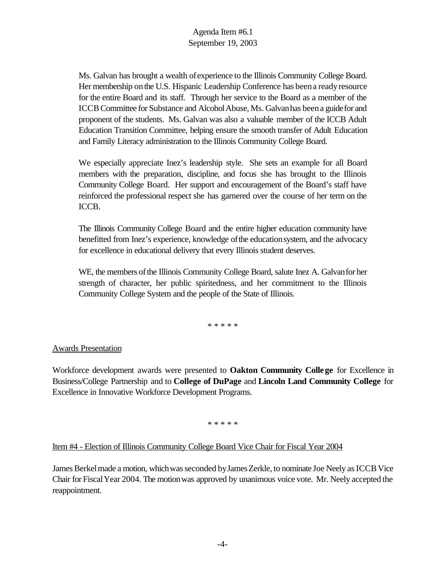Ms. Galvan has brought a wealth ofexperience to the Illinois Community College Board. Her membership on the U.S. Hispanic Leadership Conference has been a ready resource for the entire Board and its staff. Through her service to the Board as a member of the ICCB Committee for Substance and Alcohol Abuse, Ms. Galvan has been a guide for and proponent of the students. Ms. Galvan was also a valuable member of the ICCB Adult Education Transition Committee, helping ensure the smooth transfer of Adult Education and Family Literacy administration to the Illinois Community College Board.

We especially appreciate Inez's leadership style. She sets an example for all Board members with the preparation, discipline, and focus she has brought to the Illinois Community College Board. Her support and encouragement of the Board's staff have reinforced the professional respect she has garnered over the course of her term on the ICCB.

The Illinois Community College Board and the entire higher education community have benefitted from Inez's experience, knowledge of the education system, and the advocacy for excellence in educational delivery that every Illinois student deserves.

WE, the members of the Illinois Community College Board, salute Inez A. Galvan for her strength of character, her public spiritedness, and her commitment to the Illinois Community College System and the people of the State of Illinois.

\* \* \* \* \*

# Awards Presentation

Workforce development awards were presented to **Oakton Community College** for Excellence in Business/College Partnership and to **College of DuPage** and **Lincoln Land Community College** for Excellence in Innovative Workforce Development Programs.

\* \* \* \* \*

#### Item #4 - Election of Illinois Community College Board Vice Chair for Fiscal Year 2004

James Berkel made a motion, which was seconded by James Zerkle, to nominate Joe Neely as ICCB Vice Chair for FiscalYear 2004. The motionwas approved by unanimous voice vote. Mr. Neely accepted the reappointment.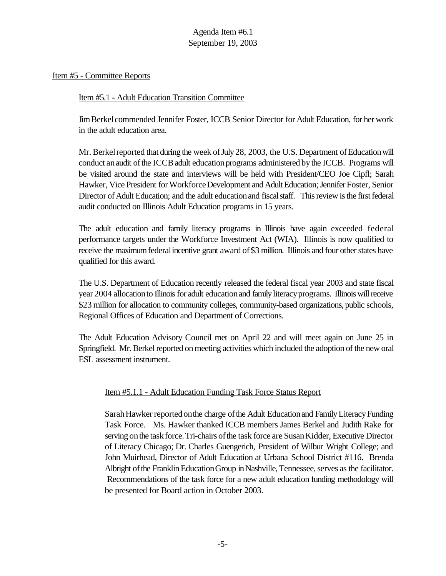## Item #5 - Committee Reports

## Item #5.1 - Adult Education Transition Committee

JimBerkelcommended Jennifer Foster, ICCB Senior Director for Adult Education, for her work in the adult education area.

Mr. Berkel reported that during the week of July 28, 2003, the U.S. Department of Education will conduct an audit of the ICCB adult education programs administered by the ICCB. Programs will be visited around the state and interviews will be held with President/CEO Joe Cipfl; Sarah Hawker, Vice President for Workforce Development and Adult Education; Jennifer Foster, Senior Director of Adult Education; and the adult education and fiscal staff. This review is the first federal audit conducted on Illinois Adult Education programs in 15 years.

The adult education and family literacy programs in Illinois have again exceeded federal performance targets under the Workforce Investment Act (WIA). Illinois is now qualified to receive the maximum federal incentive grant award of \$3 million. Illinois and four other states have qualified for this award.

The U.S. Department of Education recently released the federal fiscal year 2003 and state fiscal year 2004 allocation to Illinois for adult education and family literacy programs. Illinois will receive \$23 million for allocation to community colleges, community-based organizations, public schools, Regional Offices of Education and Department of Corrections.

The Adult Education Advisory Council met on April 22 and will meet again on June 25 in Springfield. Mr. Berkel reported on meeting activities which included the adoption of the new oral ESL assessment instrument.

# Item #5.1.1 - Adult Education Funding Task Force Status Report

Sarah Hawker reported on the charge of the Adult Education and Family Literacy Funding Task Force. Ms. Hawker thanked ICCB members James Berkel and Judith Rake for serving on the task force. Tri-chairs of the task force are Susan Kidder, Executive Director of Literacy Chicago; Dr. Charles Guengerich, President of Wilbur Wright College; and John Muirhead, Director of Adult Education at Urbana School District #116. Brenda Albright of the Franklin Education Group in Nashville, Tennessee, serves as the facilitator. Recommendations of the task force for a new adult education funding methodology will be presented for Board action in October 2003.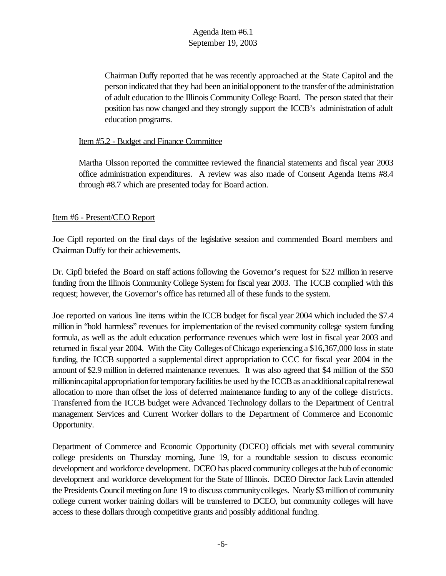Chairman Duffy reported that he was recently approached at the State Capitol and the personindicated that they had been aninitialopponent to the transfer ofthe administration of adult education to the Illinois Community College Board. The person stated that their position has now changed and they strongly support the ICCB's administration of adult education programs.

#### Item #5.2 - Budget and Finance Committee

Martha Olsson reported the committee reviewed the financial statements and fiscal year 2003 office administration expenditures. A review was also made of Consent Agenda Items #8.4 through #8.7 which are presented today for Board action.

## Item #6 - Present/CEO Report

Joe Cipfl reported on the final days of the legislative session and commended Board members and Chairman Duffy for their achievements.

Dr. Cipfl briefed the Board on staff actions following the Governor's request for \$22 million in reserve funding from the Illinois Community College System for fiscal year 2003. The ICCB complied with this request; however, the Governor's office has returned all of these funds to the system.

Joe reported on various line items within the ICCB budget for fiscal year 2004 which included the \$7.4 million in "hold harmless" revenues for implementation of the revised community college system funding formula, as well as the adult education performance revenues which were lost in fiscal year 2003 and returned in fiscal year 2004. With the City Colleges of Chicago experiencing a \$16,367,000 loss in state funding, the ICCB supported a supplemental direct appropriation to CCC for fiscal year 2004 in the amount of \$2.9 million in deferred maintenance revenues. It was also agreed that \$4 million of the \$50 millionincapital appropriation for temporary facilities be used by the ICCB as an additional capital renewal allocation to more than offset the loss of deferred maintenance funding to any of the college districts. Transferred from the ICCB budget were Advanced Technology dollars to the Department of Central management Services and Current Worker dollars to the Department of Commerce and Economic Opportunity.

Department of Commerce and Economic Opportunity (DCEO) officials met with several community college presidents on Thursday morning, June 19, for a roundtable session to discuss economic development and workforce development. DCEO has placed community colleges at the hub of economic development and workforce development for the State of Illinois. DCEO Director Jack Lavin attended the Presidents Council meeting on June 19 to discuss community colleges. Nearly \$3 million of community college current worker training dollars will be transferred to DCEO, but community colleges will have access to these dollars through competitive grants and possibly additional funding.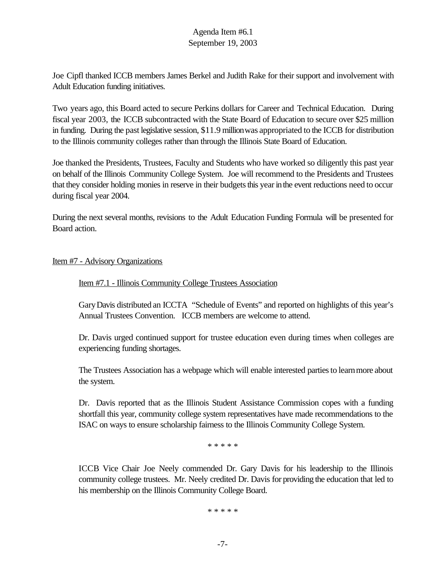Joe Cipfl thanked ICCB members James Berkel and Judith Rake for their support and involvement with Adult Education funding initiatives.

Two years ago, this Board acted to secure Perkins dollars for Career and Technical Education. During fiscal year 2003, the ICCB subcontracted with the State Board of Education to secure over \$25 million in funding. During the past legislative session, \$11.9 millionwas appropriated to the ICCB for distribution to the Illinois community colleges rather than through the Illinois State Board of Education.

Joe thanked the Presidents, Trustees, Faculty and Students who have worked so diligently this past year on behalf of the Illinois Community College System. Joe will recommend to the Presidents and Trustees that they consider holding monies in reserve in their budgets this year in the event reductions need to occur during fiscal year 2004.

During the next several months, revisions to the Adult Education Funding Formula will be presented for Board action.

## Item #7 - Advisory Organizations

#### Item #7.1 - Illinois Community College Trustees Association

GaryDavis distributed an ICCTA "Schedule of Events" and reported on highlights of this year's Annual Trustees Convention. ICCB members are welcome to attend.

Dr. Davis urged continued support for trustee education even during times when colleges are experiencing funding shortages.

The Trustees Association has a webpage which will enable interested partiesto learnmore about the system.

Dr. Davis reported that as the Illinois Student Assistance Commission copes with a funding shortfall this year, community college system representatives have made recommendations to the ISAC on ways to ensure scholarship fairness to the Illinois Community College System.

\* \* \* \* \*

ICCB Vice Chair Joe Neely commended Dr. Gary Davis for his leadership to the Illinois community college trustees. Mr. Neely credited Dr. Davis for providing the education that led to his membership on the Illinois Community College Board.

\* \* \* \* \*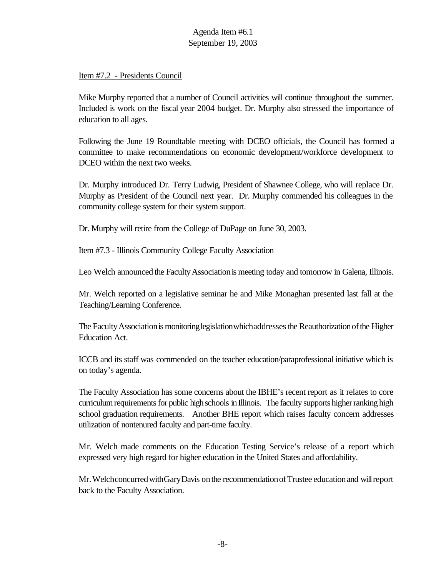## Item #7.2 - Presidents Council

Mike Murphy reported that a number of Council activities will continue throughout the summer. Included is work on the fiscal year 2004 budget. Dr. Murphy also stressed the importance of education to all ages.

Following the June 19 Roundtable meeting with DCEO officials, the Council has formed a committee to make recommendations on economic development/workforce development to DCEO within the next two weeks.

Dr. Murphy introduced Dr. Terry Ludwig, President of Shawnee College, who will replace Dr. Murphy as President of the Council next year. Dr. Murphy commended his colleagues in the community college system for their system support.

Dr. Murphy will retire from the College of DuPage on June 30, 2003.

Item #7.3 - Illinois Community College Faculty Association

Leo Welch announced the Faculty Association is meeting today and tomorrow in Galena, Illinois.

Mr. Welch reported on a legislative seminar he and Mike Monaghan presented last fall at the Teaching/Learning Conference.

The Faculty Association is monitoring legislation which addresses the Reauthorization of the Higher Education Act.

ICCB and its staff was commended on the teacher education/paraprofessional initiative which is on today's agenda.

The Faculty Association has some concerns about the IBHE's recent report as it relates to core curriculum requirements for public high schools in Illinois. The faculty supports higher ranking high school graduation requirements. Another BHE report which raises faculty concern addresses utilization of nontenured faculty and part-time faculty.

Mr. Welch made comments on the Education Testing Service's release of a report which expressed very high regard for higher education in the United States and affordability.

Mr. Welchconcurred withGaryDavis on the recommendation of Trustee education and will report back to the Faculty Association.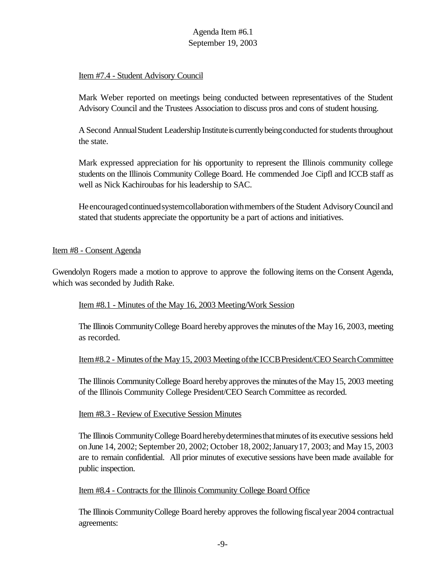# Item #7.4 - Student Advisory Council

Mark Weber reported on meetings being conducted between representatives of the Student Advisory Council and the Trustees Association to discuss pros and cons of student housing.

A Second Annual Student Leadership Institute is currently being conducted for students throughout the state.

Mark expressed appreciation for his opportunity to represent the Illinois community college students on the Illinois Community College Board. He commended Joe Cipfl and ICCB staff as well as Nick Kachiroubas for his leadership to SAC.

He encouraged continued system collaboration with members of the Student Advisory Council and stated that students appreciate the opportunity be a part of actions and initiatives.

## Item #8 - Consent Agenda

Gwendolyn Rogers made a motion to approve to approve the following items on the Consent Agenda, which was seconded by Judith Rake.

# Item #8.1 - Minutes of the May 16, 2003 Meeting/Work Session

The Illinois Community College Board hereby approves the minutes of the May 16, 2003, meeting as recorded.

#### Item#8.2 - Minutes of the May 15, 2003 Meeting of the ICCB President/CEO Search Committee

The Illinois Community College Board hereby approves the minutes of the May 15, 2003 meeting of the Illinois Community College President/CEO Search Committee as recorded.

#### Item #8.3 - Review of Executive Session Minutes

The Illinois Community College Board hereby determines that minutes of its executive sessions held onJune 14, 2002; September 20, 2002; October 18,2002;January17, 2003; and May15, 2003 are to remain confidential. All prior minutes of executive sessions have been made available for public inspection.

#### Item #8.4 - Contracts for the Illinois Community College Board Office

The Illinois CommunityCollege Board hereby approves the following fiscalyear 2004 contractual agreements: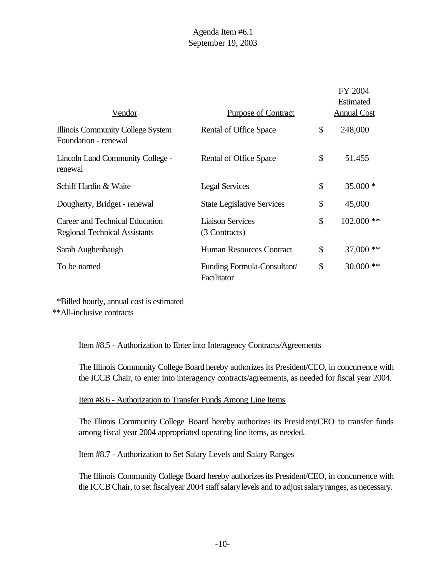|                                                                        |                                           | FY 2004            |
|------------------------------------------------------------------------|-------------------------------------------|--------------------|
|                                                                        |                                           | <b>Estimated</b>   |
| <u>Vendor</u>                                                          | <b>Purpose of Contract</b>                | <b>Annual Cost</b> |
| Illinois Community College System<br>Foundation - renewal              | Rental of Office Space                    | \$<br>248,000      |
| Lincoln Land Community College -<br>renewal                            | Rental of Office Space                    | \$<br>51,455       |
| Schiff Hardin & Waite                                                  | <b>Legal Services</b>                     | \$<br>$35,000*$    |
| Dougherty, Bridget - renewal                                           | <b>State Legislative Services</b>         | \$<br>45,000       |
| Career and Technical Education<br><b>Regional Technical Assistants</b> | <b>Liaison Services</b><br>(3 Contracts)  | \$<br>$102,000$ ** |
| Sarah Aughenbaugh                                                      | <b>Human Resources Contract</b>           | \$<br>$37,000$ **  |
| To be named                                                            | Funding Formula-Consultant<br>Facilitator | \$<br>$30,000$ **  |

 \*Billed hourly, annual cost is estimated \*\*All-inclusive contracts

# Item #8.5 - Authorization to Enter into Interagency Contracts/Agreements

The Illinois Community College Board hereby authorizes its President/CEO, in concurrence with the ICCB Chair, to enter into interagency contracts/agreements, as needed for fiscal year 2004.

#### Item #8.6 - Authorization to Transfer Funds Among Line Items

The Illinois Community College Board hereby authorizes its President/CEO to transfer funds among fiscal year 2004 appropriated operating line items, as needed.

# Item #8.7 - Authorization to Set Salary Levels and Salary Ranges

The Illinois Community College Board hereby authorizesits President/CEO, in concurrence with the ICCB Chair, to set fiscal year 2004 staff salary levels and to adjust salary ranges, as necessary.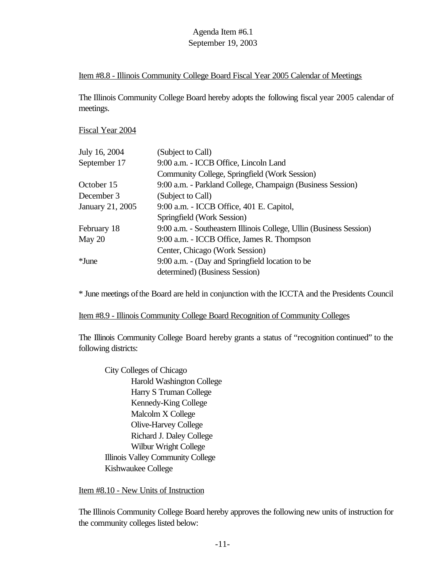## Item #8.8 - Illinois Community College Board Fiscal Year 2005 Calendar of Meetings

The Illinois Community College Board hereby adopts the following fiscal year 2005 calendar of meetings.

Fiscal Year 2004

| July 16, 2004    | (Subject to Call)                                                   |
|------------------|---------------------------------------------------------------------|
| September 17     | 9:00 a.m. - ICCB Office, Lincoln Land                               |
|                  | Community College, Springfield (Work Session)                       |
| October 15       | 9:00 a.m. - Parkland College, Champaign (Business Session)          |
| December 3       | (Subject to Call)                                                   |
| January 21, 2005 | 9:00 a.m. - ICCB Office, 401 E. Capitol,                            |
|                  | Springfield (Work Session)                                          |
| February 18      | 9:00 a.m. - Southeastern Illinois College, Ullin (Business Session) |
| May 20           | 9:00 a.m. - ICCB Office, James R. Thompson                          |
|                  | Center, Chicago (Work Session)                                      |
| *June            | 9:00 a.m. - (Day and Springfield location to be                     |
|                  | determined) (Business Session)                                      |

\* June meetings ofthe Board are held in conjunction with the ICCTA and the Presidents Council

#### Item #8.9 - Illinois Community College Board Recognition of Community Colleges

The Illinois Community College Board hereby grants a status of "recognition continued" to the following districts:

City Colleges of Chicago Harold Washington College Harry S Truman College Kennedy-King College Malcolm X College Olive-Harvey College Richard J. Daley College Wilbur Wright College Illinois Valley Community College Kishwaukee College

#### Item #8.10 - New Units of Instruction

The Illinois Community College Board hereby approves the following new units of instruction for the community colleges listed below: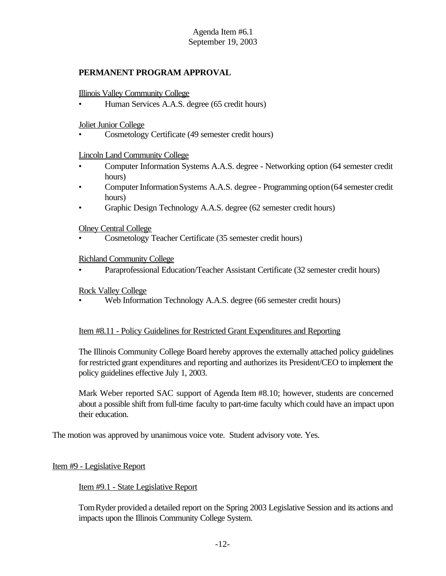# **PERMANENT PROGRAM APPROVAL**

#### Illinois Valley Community College

• Human Services A.A.S. degree (65 credit hours)

#### Joliet Junior College

• Cosmetology Certificate (49 semester credit hours)

## Lincoln Land Community College

- Computer Information Systems A.A.S. degree Networking option (64 semester credit hours)
- Computer Information Systems A.A.S. degree Programming option (64 semester credit hours)
- Graphic Design Technology A.A.S. degree (62 semester credit hours)

#### Olney Central College

• Cosmetology Teacher Certificate (35 semester credit hours)

## Richland Community College

• Paraprofessional Education/Teacher Assistant Certificate (32 semester credit hours)

## Rock Valley College

• Web Information Technology A.A.S. degree (66 semester credit hours)

#### Item #8.11 - Policy Guidelines for Restricted Grant Expenditures and Reporting

The Illinois Community College Board hereby approves the externally attached policy guidelines forrestricted grant expenditures and reporting and authorizes its President/CEO to implement the policy guidelines effective July 1, 2003.

Mark Weber reported SAC support of Agenda Item #8.10; however, students are concerned about a possible shift from full-time faculty to part-time faculty which could have an impact upon their education.

The motion was approved by unanimous voice vote. Student advisory vote. Yes.

#### Item #9 - Legislative Report

# Item #9.1 - State Legislative Report

TomRyder provided a detailed report on the Spring 2003 Legislative Session and its actions and impacts upon the Illinois Community College System.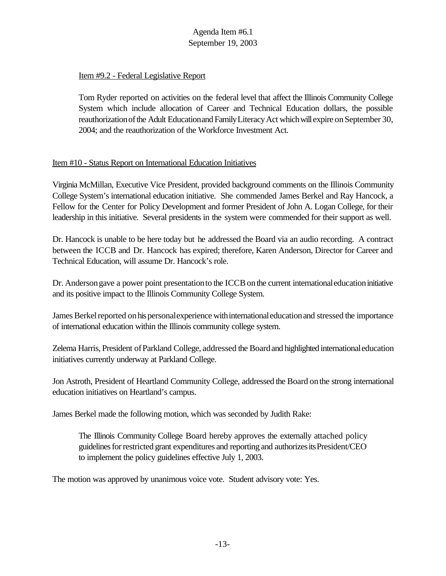# Item #9.2 - Federal Legislative Report

Tom Ryder reported on activities on the federal level that affect the Illinois Community College System which include allocation of Career and Technical Education dollars, the possible reauthorization of the Adult Education and Family Literacy Act which will expire on September 30, 2004; and the reauthorization of the Workforce Investment Act.

# Item #10 - Status Report on International Education Initiatives

Virginia McMillan, Executive Vice President, provided background comments on the Illinois Community College System's international education initiative. She commended James Berkel and Ray Hancock, a Fellow for the Center for Policy Development and former President of John A. Logan College, for their leadership in this initiative. Several presidents in the system were commended for their support as well.

Dr. Hancock is unable to be here today but he addressed the Board via an audio recording. A contract between the ICCB and Dr. Hancock has expired; therefore, Karen Anderson, Director for Career and Technical Education, will assume Dr. Hancock's role.

Dr. Anderson gave a power point presentation to the ICCB on the current international education initiative and its positive impact to the Illinois Community College System.

James Berkel reported on his personal experience with international education and stressed the importance of international education within the Illinois community college system.

Zelema Harris, President ofParkland College, addressed the Boardand highlighted internationaleducation initiatives currently underway at Parkland College.

Jon Astroth, President of Heartland Community College, addressed the Board onthe strong international education initiatives on Heartland's campus.

James Berkel made the following motion, which was seconded by Judith Rake:

The Illinois Community College Board hereby approves the externally attached policy guidelinesforrestricted grant expenditures and reporting and authorizesitsPresident/CEO to implement the policy guidelines effective July 1, 2003.

The motion was approved by unanimous voice vote. Student advisory vote: Yes.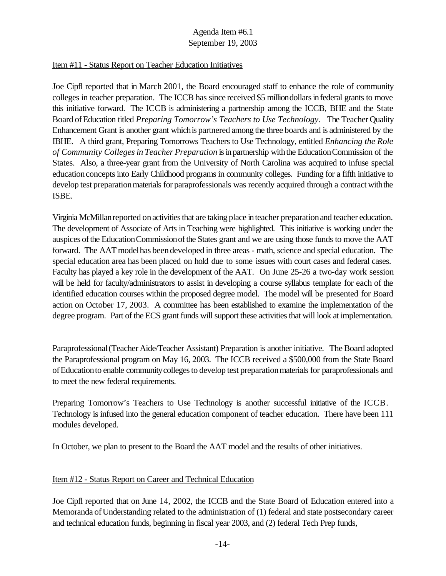## Item #11 - Status Report on Teacher Education Initiatives

Joe Cipfl reported that in March 2001, the Board encouraged staff to enhance the role of community colleges in teacher preparation. The ICCB has since received \$5 milliondollarsinfederal grants to move this initiative forward.The ICCB is administering a partnership among the ICCB, BHE and the State Board ofEducation titled *Preparing Tomorrow's Teachers to Use Technology.* The Teacher Quality Enhancement Grant is another grant whichis partnered among the three boards and is administered by the IBHE. A third grant, Preparing Tomorrows Teachers to Use Technology, entitled *Enhancing the Role of Community Collegesin Teacher Preparation* isinpartnership withthe EducationCommission of the States. Also, a three-year grant from the University of North Carolina was acquired to infuse special educationconceptsinto Early Childhood programs in community colleges. Funding for a fifth initiative to develop test preparation materials for paraprofessionals was recently acquired through a contract with the ISBE.

Virginia McMillan reported on activities that are taking place in teacher preparation and teacher education. The development of Associate of Arts in Teaching were highlighted. This initiative is working under the auspices ofthe EducationCommissionofthe States grant and we are using those funds to move the AAT forward. The AATmodelhas beendeveloped in three areas - math, science and special education. The special education area has been placed on hold due to some issues with court cases and federal cases. Faculty has played a key role in the development of the AAT. On June 25-26 a two-day work session will be held for faculty/administrators to assist in developing a course syllabus template for each of the identified education courses within the proposed degree model. The model will be presented for Board action on October 17, 2003. A committee has been established to examine the implementation of the degree program. Part of the ECS grant funds will support these activities that will look at implementation.

Paraprofessional(Teacher Aide/Teacher Assistant) Preparation is another initiative. The Board adopted the Paraprofessional program on May 16, 2003. The ICCB received a \$500,000 from the State Board ofEducationto enable communitycollegesto develop test preparationmaterials for paraprofessionals and to meet the new federal requirements.

Preparing Tomorrow's Teachers to Use Technology is another successful initiative of the ICCB. Technology is infused into the general education component of teacher education. There have been 111 modules developed.

In October, we plan to present to the Board the AAT model and the results of other initiatives.

# Item #12 - Status Report on Career and Technical Education

Joe Cipfl reported that on June 14, 2002, the ICCB and the State Board of Education entered into a Memoranda ofUnderstanding related to the administration of (1) federal and state postsecondary career and technical education funds, beginning in fiscal year 2003, and (2) federal Tech Prep funds,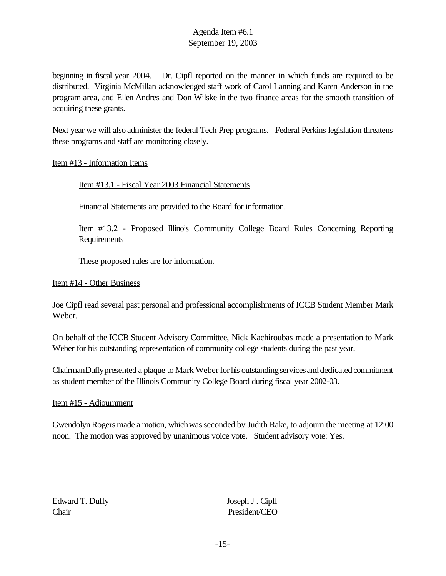beginning in fiscal year 2004. Dr. Cipfl reported on the manner in which funds are required to be distributed. Virginia McMillan acknowledged staff work of Carol Lanning and Karen Anderson in the program area, and Ellen Andres and Don Wilske in the two finance areas for the smooth transition of acquiring these grants.

Next year we will also administer the federal Tech Prep programs. Federal Perkins legislation threatens these programs and staff are monitoring closely.

## Item #13 - Information Items

Item #13.1 - Fiscal Year 2003 Financial Statements

Financial Statements are provided to the Board for information.

Item #13.2 - Proposed Illinois Community College Board Rules Concerning Reporting Requirements

These proposed rules are for information.

#### Item #14 - Other Business

Joe Cipfl read several past personal and professional accomplishments of ICCB Student Member Mark Weber.

On behalf of the ICCB Student Advisory Committee, Nick Kachiroubas made a presentation to Mark Weber for his outstanding representation of community college students during the past year.

Chairman Duffy presented a plaque to Mark Weber for his outstanding services and dedicated commitment as student member of the Illinois Community College Board during fiscal year 2002-03.

#### Item #15 - Adjournment

GwendolynRogers made a motion, whichwasseconded by Judith Rake, to adjourn the meeting at 12:00 noon. The motion was approved by unanimous voice vote. Student advisory vote: Yes.

Edward T. Duffy Joseph J . Cipfl Chair President/CEO

 $\overline{a}$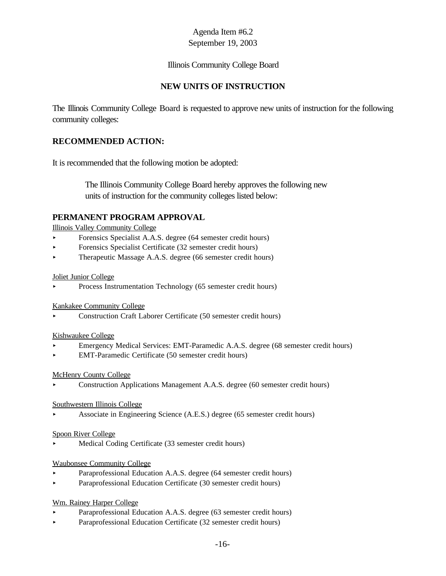## Illinois Community College Board

# **NEW UNITS OF INSTRUCTION**

The Illinois Community College Board is requested to approve new units of instruction for the following community colleges:

# **RECOMMENDED ACTION:**

It is recommended that the following motion be adopted:

 The Illinois Community College Board hereby approves the following new units of instruction for the community colleges listed below:

## **PERMANENT PROGRAM APPROVAL**

Illinois Valley Community College

- < Forensics Specialist A.A.S. degree (64 semester credit hours)
- Forensics Specialist Certificate (32 semester credit hours)
- ▶ Therapeutic Massage A.A.S. degree (66 semester credit hours)

#### Joliet Junior College

< Process Instrumentation Technology (65 semester credit hours)

#### Kankakee Community College

< Construction Craft Laborer Certificate (50 semester credit hours)

#### Kishwaukee College

- < Emergency Medical Services: EMT-Paramedic A.A.S. degree (68 semester credit hours)
- < EMT-Paramedic Certificate (50 semester credit hours)

#### McHenry County College

< Construction Applications Management A.A.S. degree (60 semester credit hours)

#### Southwestern Illinois College

< Associate in Engineering Science (A.E.S.) degree (65 semester credit hours)

#### Spoon River College

< Medical Coding Certificate (33 semester credit hours)

#### Waubonsee Community College

- **Paraprofessional Education A.A.S. degree (64 semester credit hours)**
- < Paraprofessional Education Certificate (30 semester credit hours)

#### Wm. Rainey Harper College

- < Paraprofessional Education A.A.S. degree (63 semester credit hours)
- < Paraprofessional Education Certificate (32 semester credit hours)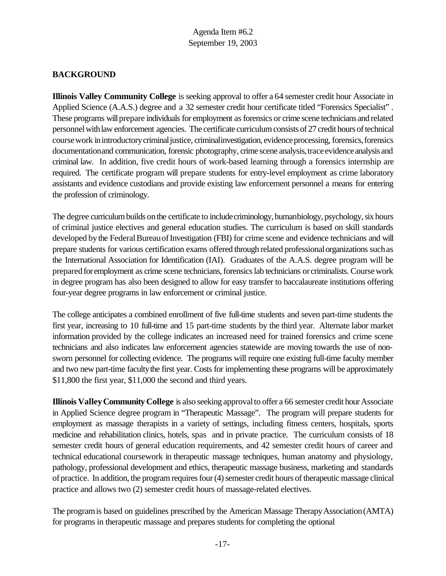# **BACKGROUND**

**Illinois Valley Community College** is seeking approval to offer a 64 semester credit hour Associate in Applied Science (A.A.S.) degree and a 32 semester credit hour certificate titled "Forensics Specialist" . These programs will prepare individuals for employment as forensics or crime scene technicians and related personnel with law enforcement agencies. The certificate curriculum consists of 27 credit hours of technical course work in introductory criminal justice, criminal investigation, evidence processing, forensics, forensics documentation and communication, forensic photography, crime scene analysis, trace evidence analysis and criminal law. In addition, five credit hours of work-based learning through a forensics internship are required. The certificate program will prepare students for entry-level employment as crime laboratory assistants and evidence custodians and provide existing law enforcement personnel a means for entering the profession of criminology.

The degree curriculum builds on the certificate to include criminology, humanbiology, psychology, six hours of criminal justice electives and general education studies. The curriculum is based on skill standards developed by the Federal Bureau of Investigation (FBI) for crime scene and evidence technicians and will prepare students for various certification exams offered through related professionalorganizations suchas the International Association for Identification (IAI). Graduates of the A.A.S. degree program will be prepared for employment as crime scene technicians, forensics lab technicians or criminalists. Course work in degree program has also been designed to allow for easy transfer to baccalaureate institutions offering four-year degree programs in law enforcement or criminal justice.

The college anticipates a combined enrollment of five full-time students and seven part-time students the first year, increasing to 10 full-time and 15 part-time students by the third year. Alternate labor market information provided by the college indicates an increased need for trained forensics and crime scene technicians and also indicates law enforcement agencies statewide are moving towards the use of nonsworn personnel for collecting evidence. The programs will require one existing full-time faculty member and two new part-time faculty the first year. Costs for implementing these programs will be approximately \$11,800 the first year, \$11,000 the second and third years.

**Illinois Valley Community College** is also seeking approval to offer a 66 semester credit hour Associate in Applied Science degree program in "Therapeutic Massage". The program will prepare students for employment as massage therapists in a variety of settings, including fitness centers, hospitals, sports medicine and rehabilitation clinics, hotels, spas and in private practice. The curriculum consists of 18 semester credit hours of general education requirements, and 42 semester credit hours of career and technical educational coursework in therapeutic massage techniques, human anatomy and physiology, pathology, professional development and ethics, therapeutic massage business, marketing and standards ofpractice. In addition, the program requires four (4) semester credit hours of therapeutic massage clinical practice and allows two (2) semester credit hours of massage-related electives.

The program is based on guidelines prescribed by the American Massage Therapy Association (AMTA) for programs in therapeutic massage and prepares students for completing the optional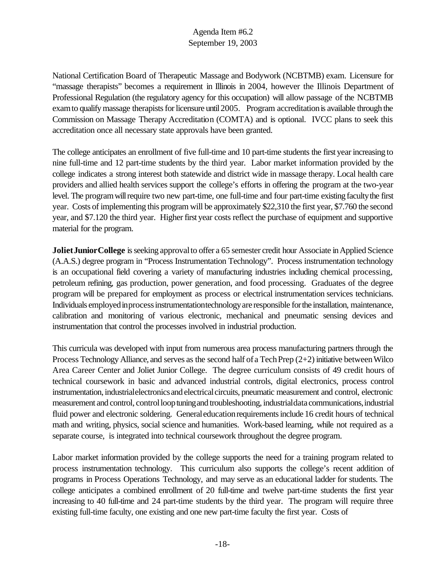National Certification Board of Therapeutic Massage and Bodywork (NCBTMB) exam. Licensure for "massage therapists" becomes a requirement in Illinois in 2004, however the Illinois Department of Professional Regulation (the regulatory agency for this occupation) will allow passage of the NCBTMB exam to qualify massage therapists for licensure until 2005. Program accreditation is available through the Commission on Massage Therapy Accreditation (COMTA) and is optional. IVCC plans to seek this accreditation once all necessary state approvals have been granted.

The college anticipates an enrollment of five full-time and 10 part-time students the first yearincreasing to nine full-time and 12 part-time students by the third year. Labor market information provided by the college indicates a strong interest both statewide and district wide in massage therapy. Local health care providers and allied health services support the college's efforts in offering the program at the two-year level. The program will require two new part-time, one full-time and four part-time existing faculty the first year. Costs of implementing this program will be approximately \$22,310 the first year, \$7.760 the second year, and \$7.120 the third year. Higher first year costs reflect the purchase of equipment and supportive material for the program.

**Joliet Junior College** is seeking approval to offer a 65 semester credit hour Associate in Applied Science (A.A.S.) degree program in "Process Instrumentation Technology". Process instrumentation technology is an occupational field covering a variety of manufacturing industries including chemical processing, petroleum refining, gas production, power generation, and food processing. Graduates of the degree program will be prepared for employment as process or electrical instrumentation services technicians. Individuals employedinprocessinstrumentationtechnologyare responsible forthe installation, maintenance, calibration and monitoring of various electronic, mechanical and pneumatic sensing devices and instrumentation that control the processes involved in industrial production.

This curricula was developed with input from numerous area process manufacturing partners through the Process Technology Alliance, and serves as the second half of a Tech Prep  $(2+2)$  initiative between Wilco Area Career Center and Joliet Junior College. The degree curriculum consists of 49 credit hours of technical coursework in basic and advanced industrial controls, digital electronics, process control instrumentation, industrial electronics and electrical circuits, pneumatic measurement and control, electronic measurement and control, control loop tuning and troubleshooting, industrialdata communications, industrial fluid power and electronic soldering. General education requirements include 16 credit hours of technical math and writing, physics, social science and humanities. Work-based learning, while not required as a separate course, is integrated into technical coursework throughout the degree program.

Labor market information provided by the college supports the need for a training program related to process instrumentation technology. This curriculum also supports the college's recent addition of programs in Process Operations Technology, and may serve as an educational ladder for students. The college anticipates a combined enrollment of 20 full-time and twelve part-time students the first year increasing to 40 full-time and 24 part-time students by the third year. The program will require three existing full-time faculty, one existing and one new part-time faculty the first year. Costs of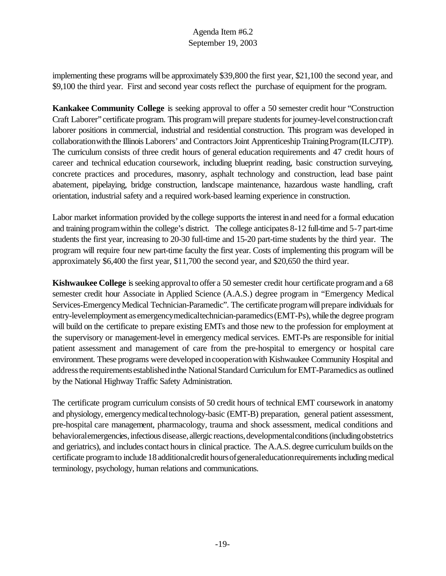implementing these programs will be approximately \$39,800 the first year, \$21,100 the second year, and \$9,100 the third year. First and second year costs reflect the purchase of equipment for the program.

**Kankakee Community College** is seeking approval to offer a 50 semester credit hour "Construction Craft Laborer" certificate program. This program will prepare students for journey-level construction craft laborer positions in commercial, industrial and residential construction. This program was developed in collaboration with the Illinois Laborers' and Contractors Joint Apprenticeship Training Program(ILCJTP). The curriculum consists of three credit hours of general education requirements and 47 credit hours of career and technical education coursework, including blueprint reading, basic construction surveying, concrete practices and procedures, masonry, asphalt technology and construction, lead base paint abatement, pipelaying, bridge construction, landscape maintenance, hazardous waste handling, craft orientation, industrial safety and a required work-based learning experience in construction.

Labor market information provided by the college supports the interest in and need for a formal education and training programwithin the college's district. The college anticipates 8-12 full-time and 5-7 part-time students the first year, increasing to 20-30 full-time and 15-20 part-time students by the third year. The program will require four new part-time faculty the first year. Costs of implementing this program will be approximately \$6,400 the first year, \$11,700 the second year, and \$20,650 the third year.

**Kishwaukee College** is seeking approval to offer a 50 semester credit hour certificate program and a 68 semester credit hour Associate in Applied Science (A.A.S.) degree program in "Emergency Medical Services-Emergency Medical Technician-Paramedic". The certificate program will prepare individuals for entry-levelemployment as emergencymedicaltechnician-paramedics(EMT-Ps),while the degree program will build on the certificate to prepare existing EMTs and those new to the profession for employment at the supervisory or management-level in emergency medical services. EMT-Ps are responsible for initial patient assessment and management of care from the pre-hospital to emergency or hospital care environment. These programs were developed in cooperation with Kishwaukee Community Hospital and address the requirements established in the National Standard Curriculum for EMT-Paramedics as outlined by the National Highway Traffic Safety Administration.

The certificate program curriculum consists of 50 credit hours of technical EMT coursework in anatomy and physiology, emergency medical technology-basic (EMT-B) preparation, general patient assessment, pre-hospital care management, pharmacology, trauma and shock assessment, medical conditions and behavioralemergencies, infectious disease, allergic reactions, developmental conditions (including obstetrics and geriatrics), and includes contact hours in clinical practice. The A.A.S. degree curriculum builds on the certificate programto include 18additionalcredit hoursofgeneraleducationrequirementsincludingmedical terminology, psychology, human relations and communications.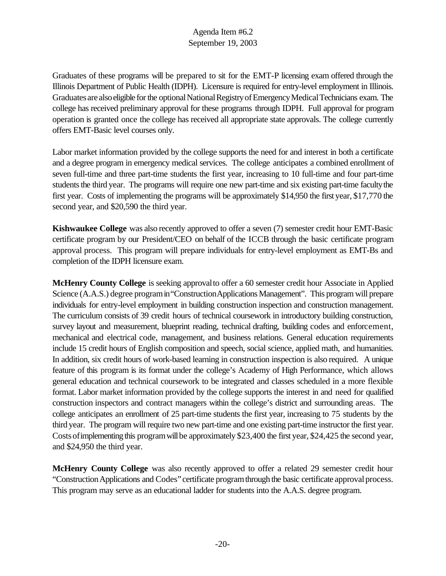Graduates of these programs will be prepared to sit for the EMT-P licensing exam offered through the Illinois Department of Public Health (IDPH). Licensure is required for entry-level employment in Illinois. Graduates are also eligible for the optional National Registry of Emergency Medical Technicians exam. The college has received preliminary approval for these programs through IDPH. Full approval for program operation is granted once the college has received all appropriate state approvals. The college currently offers EMT-Basic level courses only.

Labor market information provided by the college supports the need for and interest in both a certificate and a degree program in emergency medical services. The college anticipates a combined enrollment of seven full-time and three part-time students the first year, increasing to 10 full-time and four part-time students the third year. The programs will require one new part-time and six existing part-time faculty the first year. Costs of implementing the programs will be approximately \$14,950 the first year, \$17,770 the second year, and \$20,590 the third year.

**Kishwaukee College** was also recently approved to offer a seven (7) semester credit hour EMT-Basic certificate program by our President/CEO on behalf of the ICCB through the basic certificate program approval process. This program will prepare individuals for entry-level employment as EMT-Bs and completion of the IDPH licensure exam.

**McHenry County College** is seeking approval to offer a 60 semester credit hour Associate in Applied Science (A.A.S.) degree program in "Construction Applications Management". This program will prepare individuals for entry-level employment in building construction inspection and construction management. The curriculum consists of 39 credit hours of technical coursework in introductory building construction, survey layout and measurement, blueprint reading, technical drafting, building codes and enforcement, mechanical and electrical code, management, and business relations. General education requirements include 15 credit hours of English composition and speech, social science, applied math, and humanities. In addition, six credit hours of work-based learning in construction inspection is also required. A unique feature of this program is its format under the college's Academy of High Performance, which allows general education and technical coursework to be integrated and classes scheduled in a more flexible format. Labor market information provided by the college supports the interest in and need for qualified construction inspectors and contract managers within the college's district and surrounding areas. The college anticipates an enrollment of 25 part-time students the first year, increasing to 75 students by the third year. The program will require two new part-time and one existing part-time instructor the first year. Costs of implementing this program will be approximately \$23,400 the first year, \$24,425 the second year, and \$24,950 the third year.

**McHenry County College** was also recently approved to offer a related 29 semester credit hour "ConstructionApplications and Codes" certificate programthrough the basic certificate approvalprocess. This program may serve as an educational ladder for students into the A.A.S. degree program.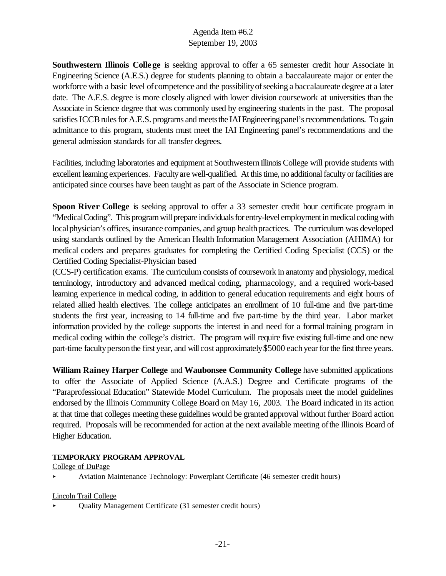**Southwestern Illinois College** is seeking approval to offer a 65 semester credit hour Associate in Engineering Science (A.E.S.) degree for students planning to obtain a baccalaureate major or enter the workforce with a basic level of competence and the possibility of seeking a baccalaureate degree at a later date. The A.E.S. degree is more closely aligned with lower division coursework at universities than the Associate in Science degree that was commonly used by engineering students in the past. The proposal satisfies ICCB rules for A.E.S. programs and meets the IAI Engineering panel's recommendations. To gain admittance to this program, students must meet the IAI Engineering panel's recommendations and the general admission standards for all transfer degrees.

Facilities, including laboratories and equipment at Southwestern Illinois College will provide students with excellent learning experiences. Facultyare well-qualified. At this time, no additional faculty or facilities are anticipated since courses have been taught as part of the Associate in Science program.

**Spoon River College** is seeking approval to offer a 33 semester credit hour certificate program in "MedicalCoding". This program will prepare individuals for entry-level employment in medical coding with local physician's offices, insurance companies, and group health practices. The curriculum was developed using standards outlined by the American Health Information Management Association (AHIMA) for medical coders and prepares graduates for completing the Certified Coding Specialist (CCS) or the Certified Coding Specialist-Physician based

(CCS-P) certification exams. The curriculum consists of coursework in anatomy and physiology, medical terminology, introductory and advanced medical coding, pharmacology, and a required work-based learning experience in medical coding, in addition to general education requirements and eight hours of related allied health electives. The college anticipates an enrollment of 10 full-time and five part-time students the first year, increasing to 14 full-time and five part-time by the third year. Labor market information provided by the college supports the interest in and need for a formal training program in medical coding within the college's district. The program will require five existing full-time and one new part-time faculty person the first year, and will cost approximately \$5000 each year for the first three years.

**William Rainey Harper College** and **Waubonsee Community College** have submitted applications to offer the Associate of Applied Science (A.A.S.) Degree and Certificate programs of the "Paraprofessional Education" Statewide Model Curriculum. The proposals meet the model guidelines endorsed by the Illinois Community College Board on May 16, 2003. The Board indicated in its action at that time that colleges meeting these guidelineswould be granted approval without further Board action required. Proposals will be recommended for action at the next available meeting ofthe Illinois Board of Higher Education.

#### **TEMPORARY PROGRAM APPROVAL**

#### College of DuPage

< Aviation Maintenance Technology: Powerplant Certificate (46 semester credit hours)

#### Lincoln Trail College

< Quality Management Certificate (31 semester credit hours)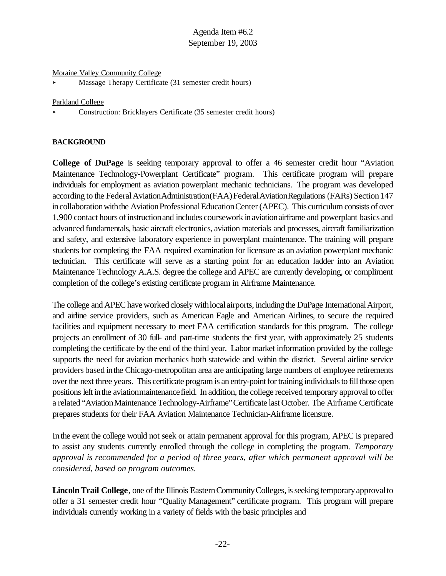#### Moraine Valley Community College

< Massage Therapy Certificate (31 semester credit hours)

#### Parkland College

< Construction: Bricklayers Certificate (35 semester credit hours)

#### **BACKGROUND**

**College of DuPage** is seeking temporary approval to offer a 46 semester credit hour "Aviation Maintenance Technology-Powerplant Certificate" program. This certificate program will prepare individuals for employment as aviation powerplant mechanic technicians. The program was developed according to the Federal Aviation Administration (FAA) Federal Aviation Regulations (FARs) Section 147 in collaboration with the Aviation Professional Education Center (APEC). This curriculum consists of over 1,900 contact hours ofinstructionand includes coursework inaviationairframe and powerplant basics and advanced fundamentals, basic aircraft electronics, aviation materials and processes, aircraft familiarization and safety, and extensive laboratory experience in powerplant maintenance. The training will prepare students for completing the FAA required examination for licensure as an aviation powerplant mechanic technician. This certificate will serve as a starting point for an education ladder into an Aviation Maintenance Technology A.A.S. degree the college and APEC are currently developing, or compliment completion of the college's existing certificate program in Airframe Maintenance.

The college and APEC have worked closely with local airports, including the DuPage International Airport, and airline service providers, such as American Eagle and American Airlines, to secure the required facilities and equipment necessary to meet FAA certification standards for this program. The college projects an enrollment of 30 full- and part-time students the first year, with approximately 25 students completing the certificate by the end of the third year. Labor market information provided by the college supports the need for aviation mechanics both statewide and within the district. Several airline service providers based inthe Chicago-metropolitan area are anticipating large numbers of employee retirements over the next three years. This certificate program is an entry-point for training individuals to fill those open positions left inthe aviationmaintenancefield. In addition, the college received temporary approval to offer a related "AviationMaintenance Technology-Airframe"Certificate last October. The Airframe Certificate prepares students for their FAA Aviation Maintenance Technician-Airframe licensure.

Inthe event the college would not seek or attain permanent approval for this program, APEC is prepared to assist any students currently enrolled through the college in completing the program. *Temporary approval is recommended for a period of three years, after which permanent approval will be considered, based on program outcomes.*

**Lincoln Trail College**, one of the Illinois Eastern Community Colleges, is seeking temporary approval to offer a 31 semester credit hour "Quality Management" certificate program. This program will prepare individuals currently working in a variety of fields with the basic principles and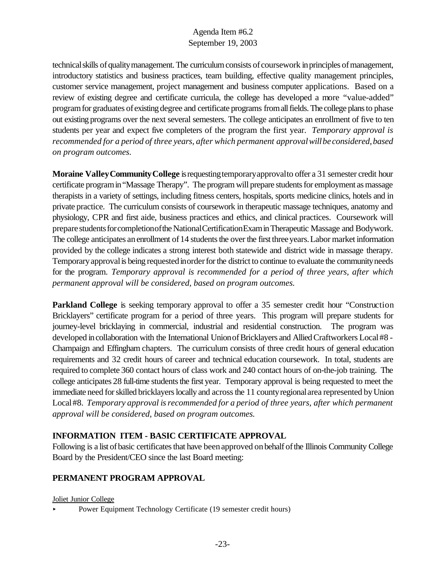technicalskills ofqualitymanagement.The curriculumconsists of coursework inprinciples ofmanagement, introductory statistics and business practices, team building, effective quality management principles, customer service management, project management and business computer applications. Based on a review of existing degree and certificate curricula, the college has developed a more "value-added" programfor graduates of existing degree and certificate programs fromallfields.The college plansto phase out existing programs over the next several semesters. The college anticipates an enrollment of five to ten students per year and expect five completers of the program the first year. *Temporary approval is recommended for a period of three years, after which permanent approvalwillbe considered,based on program outcomes.*

**Moraine** Valley Community College is requesting temporary approval to offer a 31 semester credit hour certificate programin"Massage Therapy". The program will prepare students for employment as massage therapists in a variety of settings, including fitness centers, hospitals, sports medicine clinics, hotels and in private practice. The curriculum consists of coursework in therapeutic massage techniques, anatomy and physiology, CPR and first aide, business practices and ethics, and clinical practices. Coursework will prepare students for completion of the National Certification Exam in Therapeutic Massage and Bodywork. The college anticipates an enrollment of 14 students the over the first three years. Labor market information provided by the college indicates a strong interest both statewide and district wide in massage therapy. Temporaryapprovalis being requestedinorderforthe district to continue to evaluate the communityneeds for the program. *Temporary approval is recommended for a period of three years, after which permanent approval will be considered, based on program outcomes.*

**Parkland College** is seeking temporary approval to offer a 35 semester credit hour "Construction" Bricklayers" certificate program for a period of three years. This program will prepare students for journey-level bricklaying in commercial, industrial and residential construction. The program was developed in collaboration with the International Union of Bricklayers and Allied Craftworkers Local #8 -Champaign and Effingham chapters. The curriculum consists of three credit hours of general education requirements and 32 credit hours of career and technical education coursework. In total, students are required to complete 360 contact hours of class work and 240 contact hours of on-the-job training. The college anticipates 28 full-time students the first year. Temporary approval is being requested to meet the immediate need for skilled bricklayers locally and across the 11 county regional area represented by Union Local#8. *Temporary approval isrecommended for a period of three years, after which permanent approval will be considered, based on program outcomes.*

# **INFORMATION ITEM - BASIC CERTIFICATE APPROVAL**

Following is a list of basic certificates that have been approved on behalf of the Illinois Community College Board by the President/CEO since the last Board meeting:

# **PERMANENT PROGRAM APPROVAL**

Joliet Junior College

< Power Equipment Technology Certificate (19 semester credit hours)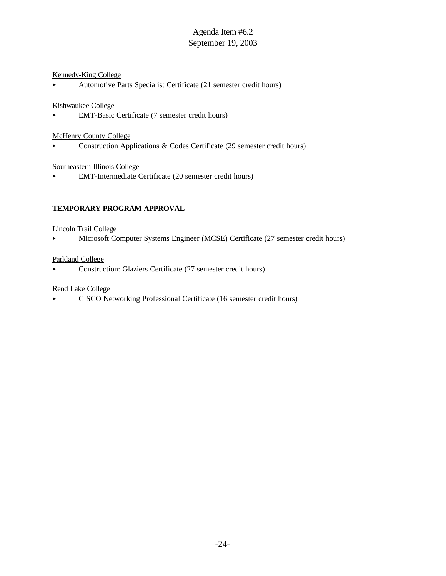#### Kennedy-King College

< Automotive Parts Specialist Certificate (21 semester credit hours)

#### Kishwaukee College

< EMT-Basic Certificate (7 semester credit hours)

#### McHenry County College

< Construction Applications & Codes Certificate (29 semester credit hours)

#### Southeastern Illinois College

< EMT-Intermediate Certificate (20 semester credit hours)

#### **TEMPORARY PROGRAM APPROVAL**

#### Lincoln Trail College

< Microsoft Computer Systems Engineer (MCSE) Certificate (27 semester credit hours)

#### Parkland College

< Construction: Glaziers Certificate (27 semester credit hours)

#### Rend Lake College

< CISCO Networking Professional Certificate (16 semester credit hours)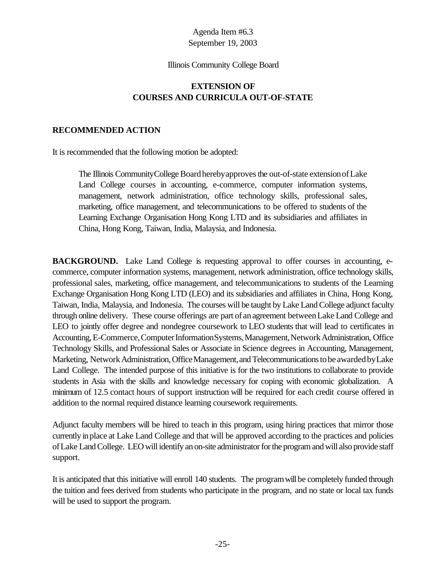#### Illinois Community College Board

# **EXTENSION OF COURSES AND CURRICULA OUT-OF-STATE**

## **RECOMMENDED ACTION**

It is recommended that the following motion be adopted:

The Illinois Community College Board hereby approves the out-of-state extension of Lake Land College courses in accounting, e-commerce, computer information systems, management, network administration, office technology skills, professional sales, marketing, office management, and telecommunications to be offered to students of the Learning Exchange Organisation Hong Kong LTD and its subsidiaries and affiliates in China, Hong Kong, Taiwan, India, Malaysia, and Indonesia.

**BACKGROUND.** Lake Land College is requesting approval to offer courses in accounting, ecommerce, computer information systems, management, network administration, office technology skills, professional sales, marketing, office management, and telecommunications to students of the Learning Exchange Organisation Hong Kong LTD (LEO) and its subsidiaries and affiliates in China, Hong Kong, Taiwan, India, Malaysia, and Indonesia. The courses will be taught by Lake Land College adjunct faculty through online delivery. These course offerings are part of anagreement betweenLake Land College and LEO to jointly offer degree and nondegree coursework to LEO students that will lead to certificates in Accounting, E-Commerce, Computer Information Systems, Management, Network Administration, Office Technology Skills, and Professional Sales or Associate in Science degrees in Accounting, Management, Marketing, Network Administration, Office Management, and Telecommunications to be awarded by Lake Land College. The intended purpose of this initiative is for the two institutions to collaborate to provide students in Asia with the skills and knowledge necessary for coping with economic globalization. A minimum of 12.5 contact hours of support instruction will be required for each credit course offered in addition to the normal required distance learning coursework requirements.

Adjunct faculty members will be hired to teach in this program, using hiring practices that mirror those currently inplace at Lake Land College and that will be approved according to the practices and policies ofLake LandCollege. LEO will identify an on-site administrator for the program and will also provide staff support.

It is anticipated that this initiative will enroll 140 students. The program will be completely funded through the tuition and fees derived from students who participate in the program, and no state or local tax funds will be used to support the program.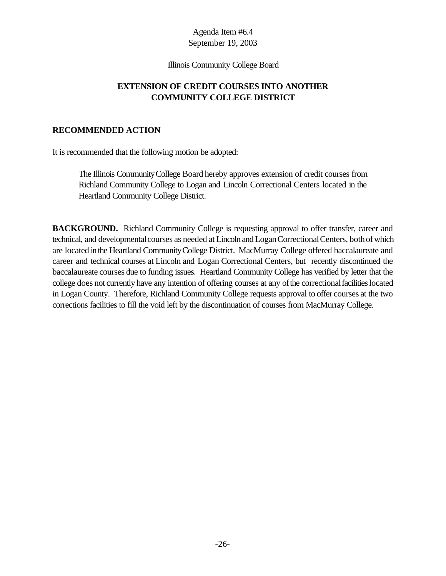#### Illinois Community College Board

# **EXTENSION OF CREDIT COURSES INTO ANOTHER COMMUNITY COLLEGE DISTRICT**

# **RECOMMENDED ACTION**

It is recommended that the following motion be adopted:

The Illinois CommunityCollege Board hereby approves extension of credit courses from Richland Community College to Logan and Lincoln Correctional Centers located in the Heartland Community College District.

**BACKGROUND.** Richland Community College is requesting approval to offer transfer, career and technical, and developmental courses as needed at Lincoln and Logan Correctional Centers, both of which are located inthe Heartland CommunityCollege District. MacMurray College offered baccalaureate and career and technical courses at Lincoln and Logan Correctional Centers, but recently discontinued the baccalaureate courses due to funding issues. Heartland Community College has verified by letter that the college does not currently have any intention of offering courses at any of the correctional facilities located in Logan County. Therefore, Richland Community College requests approval to offer courses at the two corrections facilities to fill the void left by the discontinuation of courses from MacMurray College.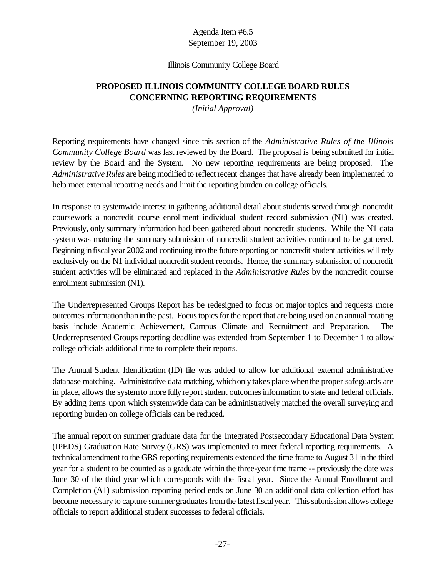#### Illinois Community College Board

# **PROPOSED ILLINOIS COMMUNITY COLLEGE BOARD RULES CONCERNING REPORTING REQUIREMENTS**

*(Initial Approval)*

Reporting requirements have changed since this section of the *Administrative Rules of the Illinois Community College Board* was last reviewed by the Board. The proposal is being submitted for initial review by the Board and the System. No new reporting requirements are being proposed. The *Administrative Rules* are being modified to reflect recent changes that have already been implemented to help meet external reporting needs and limit the reporting burden on college officials.

In response to systemwide interest in gathering additional detail about students served through noncredit coursework a noncredit course enrollment individual student record submission (N1) was created. Previously, only summary information had been gathered about noncredit students. While the N1 data system was maturing the summary submission of noncredit student activities continued to be gathered. Beginning infiscalyear 2002 and continuing into the future reporting onnoncredit student activities will rely exclusively on the N1 individual noncredit student records. Hence, the summary submission of noncredit student activities will be eliminated and replaced in the *Administrative Rules* by the noncredit course enrollment submission (N1).

The Underrepresented Groups Report has be redesigned to focus on major topics and requests more outcomesinformationthaninthe past. Focus topics for the report that are being used on an annual rotating basis include Academic Achievement, Campus Climate and Recruitment and Preparation. The Underrepresented Groups reporting deadline was extended from September 1 to December 1 to allow college officials additional time to complete their reports.

The Annual Student Identification (ID) file was added to allow for additional external administrative database matching. Administrative data matching, whichonly takes place whenthe proper safeguards are in place, allows the system to more fully report student outcomes information to state and federal officials. By adding items upon which systemwide data can be administratively matched the overall surveying and reporting burden on college officials can be reduced.

The annual report on summer graduate data for the Integrated Postsecondary Educational Data System (IPEDS) Graduation Rate Survey (GRS) was implemented to meet federal reporting requirements. A technicalamendment to the GRS reporting requirements extended the time frame to August 31 inthe third year for a student to be counted as a graduate within the three-year time frame -- previously the date was June 30 of the third year which corresponds with the fiscal year. Since the Annual Enrollment and Completion (A1) submission reporting period ends on June 30 an additional data collection effort has become necessary to capture summer graduates from the latest fiscal year. This submission allows college officials to report additional student successes to federal officials.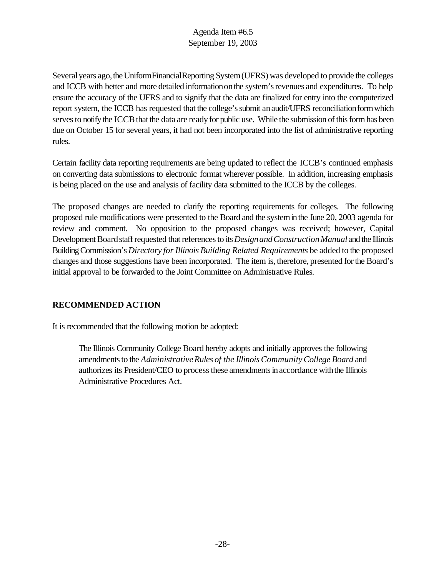Several years ago, the UniformFinancialReporting System (UFRS) was developed to provide the colleges and ICCB with better and more detailed information on the system's revenues and expenditures. To help ensure the accuracy of the UFRS and to signify that the data are finalized for entry into the computerized report system, the ICCB has requested that the college's submit an audit/UFRS reconciliation form which serves to notify the ICCB that the data are ready for public use. While the submission of this form has been due on October 15 for several years, it had not been incorporated into the list of administrative reporting rules.

Certain facility data reporting requirements are being updated to reflect the ICCB's continued emphasis on converting data submissions to electronic format wherever possible. In addition, increasing emphasis is being placed on the use and analysis of facility data submitted to the ICCB by the colleges.

The proposed changes are needed to clarify the reporting requirements for colleges. The following proposed rule modifications were presented to the Board and the systeminthe June 20, 2003 agenda for review and comment. No opposition to the proposed changes was received; however, Capital Development Board staff requested that references to its *Design and Construction Manual* and the Illinois BuildingCommission's *Directory forIllinois Building Related Requirements* be added to the proposed changes and those suggestions have been incorporated. The item is, therefore, presented forthe Board's initial approval to be forwarded to the Joint Committee on Administrative Rules.

# **RECOMMENDED ACTION**

It is recommended that the following motion be adopted:

The Illinois Community College Board hereby adopts and initially approves the following amendments to the *Administrative Rules of the Illinois Community College Board* and authorizes its President/CEO to process these amendments in accordance with the Illinois Administrative Procedures Act.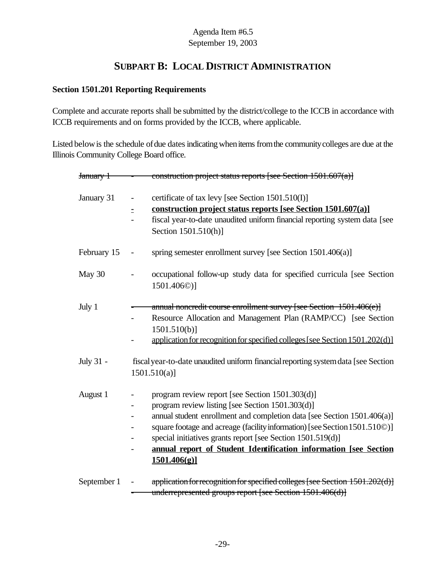# **SUBPART B: LOCAL DISTRICT ADMINISTRATION**

# **Section 1501.201 Reporting Requirements**

Complete and accurate reports shall be submitted by the district/college to the ICCB in accordance with ICCB requirements and on forms provided by the ICCB, where applicable.

Listed below is the schedule of due dates indicating when items from the community colleges are due at the Illinois Community College Board office.

| <del>January 1</del> | construction project status reports [see Section 1501.607(a)]                                                                                                                                                                                                                                                                                                                                                  |
|----------------------|----------------------------------------------------------------------------------------------------------------------------------------------------------------------------------------------------------------------------------------------------------------------------------------------------------------------------------------------------------------------------------------------------------------|
| January 31           | certificate of tax levy [see Section 1501.510(I)]<br>$\qquad \qquad -$<br>construction project status reports [see Section 1501.607(a)]<br>$\equiv$<br>fiscal year-to-date unaudited uniform financial reporting system data [see<br>Section 1501.510(h)]                                                                                                                                                      |
| February 15          | spring semester enrollment survey [see Section 1501.406(a)]<br>$\overline{\phantom{0}}$                                                                                                                                                                                                                                                                                                                        |
| May 30               | occupational follow-up study data for specified curricula [see Section<br>1501.406 <sup>(0)</sup> ]                                                                                                                                                                                                                                                                                                            |
| July 1               | annual noncredit course enrollment survey [see Section 1501.406(e)]<br>Resource Allocation and Management Plan (RAMP/CC) [see Section<br>$1501.510(b)$ ]<br>application for recognition for specified colleges [see Section 1501.202(d)]                                                                                                                                                                       |
| July 31 -            | fiscal year-to-date unaudited uniform financial reporting system data [see Section<br>$1501.510(a)$ ]                                                                                                                                                                                                                                                                                                          |
| August 1             | program review report [see Section 1501.303(d)]<br>program review listing [see Section 1501.303(d)]<br>annual student enrollment and completion data [see Section 1501.406(a)]<br>square footage and acreage (facility information) [see Section 1501.510©)]<br>special initiatives grants report [see Section 1501.519(d)]<br>annual report of Student Identification information [see Section<br>1501.406(g) |
| September 1          | application for recognition for specified colleges [see Section 1501.202(d)]<br>$\qquad \qquad \blacksquare$<br>underrepresented groups report [see Section 1501.406(d)]                                                                                                                                                                                                                                       |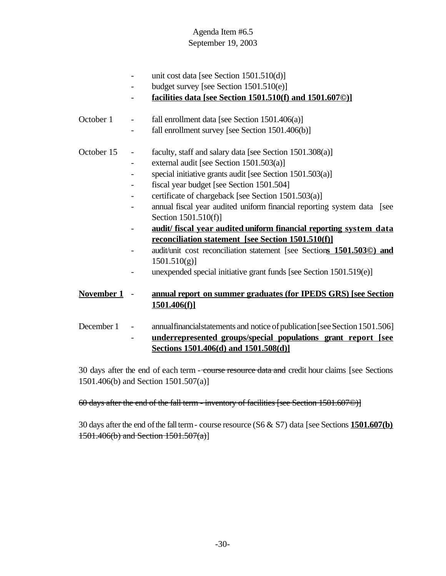- unit cost data [see Section 1501.510(d)] - budget survey [see Section 1501.510(e)] - **facilities data [see Section 1501.510(f) and 1501.607©)]** October 1 - fall enrollment data [see Section 1501.406(a)] fall enrollment survey [see Section  $1501.406(b)$ ] October 15 - faculty, staff and salary data [see Section 1501.308(a)] - external audit [see Section 1501.503(a)] - special initiative grants audit [see Section 1501.503(a)] - fiscal year budget [see Section 1501.504] - certificate of chargeback [see Section 1501.503(a)] - annual fiscal year audited uniform financial reporting system data [see Section 1501.510(f)] - **audit/ fiscal year audited uniform financial reporting system data reconciliation statement [see Section 1501.510(f)]** - audit/unit cost reconciliation statement [see Section**s 1501.503©) and**  $1501.510(g)$ ] - unexpended special initiative grant funds [see Section 1501.519(e)] **November 1** - **annual report on summer graduates (for IPEDS GRS) [see Section 1501.406(f)]** December 1 - annual financial statements and notice of publication [see Section 1501.506] - **underrepresented groups/special populations grant report [see Sections 1501.406(d) and 1501.508(d)]**

30 days after the end of each term - course resource data and credit hour claims [see Sections] 1501.406(b) and Section 1501.507(a)]

# 60 days after the end of the fall term - inventory of facilities [see Section 1501.607©)]

30 days afterthe end ofthe fallterm- course resource (S6 & S7) data [see Sections **1501.607(b)**  $1501.406(b)$  and Section  $1501.507(a)$ ]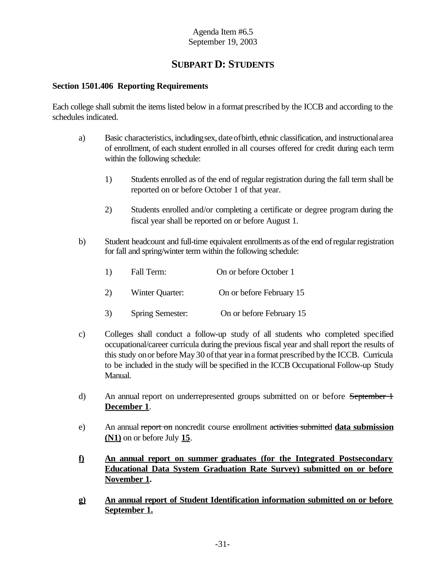# **SUBPART D: STUDENTS**

## **Section 1501.406 Reporting Requirements**

Each college shall submit the items listed below in a format prescribed by the ICCB and according to the schedules indicated.

- a) Basic characteristics, includingsex, dateofbirth, ethnic classification, and instructionalarea of enrollment, of each student enrolled in all courses offered for credit during each term within the following schedule:
	- 1) Students enrolled as of the end of regular registration during the fall term shall be reported on or before October 1 of that year.
	- 2) Students enrolled and/or completing a certificate or degree program during the fiscal year shall be reported on or before August 1.
- b) Student headcount and full-time equivalent enrollments as of the end of regular registration for fall and spring/winter term within the following schedule:

| 1) | Fall Term:      | On or before October 1   |  |  |
|----|-----------------|--------------------------|--|--|
| 2) | Winter Quarter: | On or before February 15 |  |  |

- 3) Spring Semester: On or before February 15
- c) Colleges shall conduct a follow-up study of all students who completed specified occupational/career curricula during the previous fiscal year and shall report the results of this study onor before May30 ofthat yearina format prescribed bythe ICCB. Curricula to be included in the study will be specified in the ICCB Occupational Follow-up Study Manual.
- d) An annual report on underrepresented groups submitted on or before September 1 **December 1**.
- e) An annual report on noncredit course enrollment activities submitted **data submission (N1)** on or before July **15**.
- **f) An annual report on summer graduates (for the Integrated Postsecondary Educational Data System Graduation Rate Survey) submitted on or before November 1.**
- **g) An annual report of Student Identification information submitted on or before September 1.**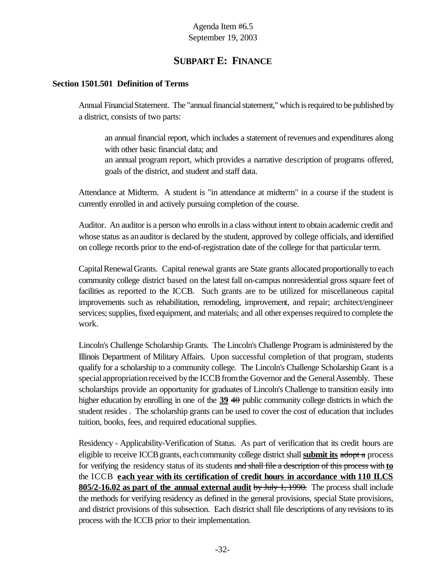# **SUBPART E: FINANCE**

## **Section 1501.501 Definition of Terms**

Annual Financial Statement. The "annual financial statement," which is required to be published by a district, consists of two parts:

an annual financial report, which includes a statement ofrevenues and expenditures along with other basic financial data; and an annual program report, which provides a narrative description of programs offered, goals of the district, and student and staff data.

Attendance at Midterm. A student is "in attendance at midterm" in a course if the student is currently enrolled in and actively pursuing completion of the course.

Auditor. An auditor is a person who enrolls in a class without intent to obtain academic credit and whose status as an auditor is declared by the student, approved by college officials, and identified on college records prior to the end-of-registration date of the college for that particular term.

Capital Renewal Grants. Capital renewal grants are State grants allocated proportionally to each community college district based on the latest fall on-campus nonresidential gross square feet of facilities as reported to the ICCB. Such grants are to be utilized for miscellaneous capital improvements such as rehabilitation, remodeling, improvement, and repair; architect/engineer services; supplies, fixed equipment, and materials; and all other expenses required to complete the work.

Lincoln's Challenge Scholarship Grants. The Lincoln's Challenge Program is administered by the Illinois Department of Military Affairs. Upon successful completion of that program, students qualify for a scholarship to a community college. The Lincoln's Challenge Scholarship Grant is a special appropriation received by the ICCB from the Governor and the General Assembly. These scholarships provide an opportunity for graduates of Lincoln's Challenge to transition easily into higher education by enrolling in one of the **39** 40 public community college districts in which the student resides . The scholarship grants can be used to cover the cost of education that includes tuition, books, fees, and required educational supplies.

Residency - Applicability-Verification of Status. As part of verification that its credit hours are eligible to receive ICCB grants, each community college district shall **submit its** adopt a process for verifying the residency status of its students and shall file a description of this process with **to** the ICCB **each year with its certification of credit hours in accordance with 110 ILCS 805/2-16.02 as part of the annual external audit** by July 1, 1990. The process shall include the methods for verifying residency as defined in the general provisions, special State provisions, and district provisions of this subsection. Each district shall file descriptions of any revisions to its process with the ICCB prior to their implementation.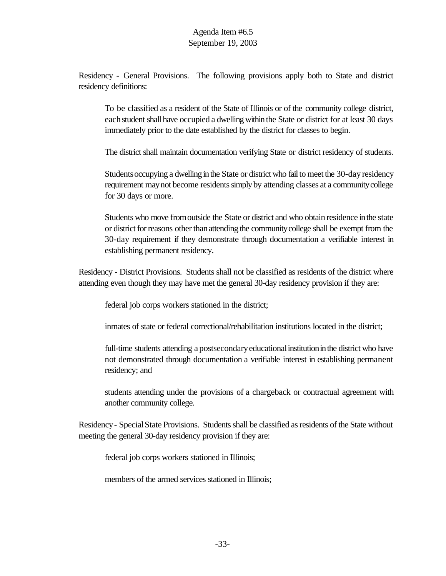Residency - General Provisions. The following provisions apply both to State and district residency definitions:

To be classified as a resident of the State of Illinois or of the community college district, each student shall have occupied a dwelling within the State or district for at least 30 days immediately prior to the date established by the district for classes to begin.

The district shall maintain documentation verifying State or district residency of students.

Students occupying a dwelling in the State or district who fail to meet the 30-day residency requirement maynot become residentssimply by attending classes at a communitycollege for 30 days or more.

Students who move fromoutside the State or district and who obtain residence inthe state or district for reasons other than attending the community college shall be exempt from the 30-day requirement if they demonstrate through documentation a verifiable interest in establishing permanent residency.

Residency - District Provisions. Students shall not be classified as residents of the district where attending even though they may have met the general 30-day residency provision if they are:

federal job corps workers stationed in the district;

inmates of state or federal correctional/rehabilitation institutions located in the district;

full-time students attending a postsecondaryeducationalinstitutioninthe district who have not demonstrated through documentation a verifiable interest in establishing permanent residency; and

students attending under the provisions of a chargeback or contractual agreement with another community college.

Residency- SpecialState Provisions. Students shall be classified as residents of the State without meeting the general 30-day residency provision if they are:

federal job corps workers stationed in Illinois;

members of the armed services stationed in Illinois;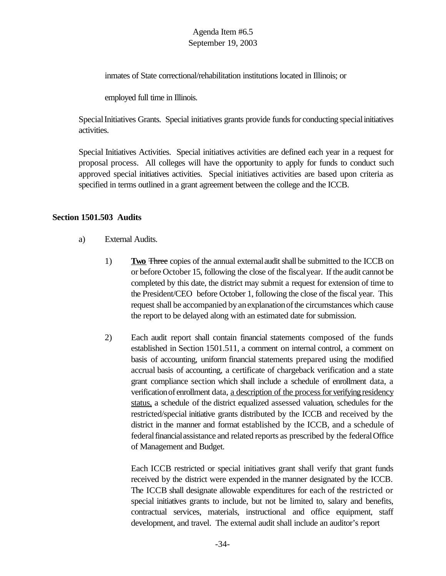inmates of State correctional/rehabilitation institutions located in Illinois; or

employed full time in Illinois.

Special Initiatives Grants. Special initiatives grants provide funds for conducting special initiatives activities.

Special Initiatives Activities. Special initiatives activities are defined each year in a request for proposal process. All colleges will have the opportunity to apply for funds to conduct such approved special initiatives activities. Special initiatives activities are based upon criteria as specified in terms outlined in a grant agreement between the college and the ICCB.

## **Section 1501.503 Audits**

- a) External Audits.
	- 1) **Two** Three copies of the annual externalaudit shall be submitted to the ICCB on or before October 15, following the close of the fiscalyear. If the audit cannot be completed by this date, the district may submit a request for extension of time to the President/CEO before October 1, following the close of the fiscal year. This request shall be accompanied by an explanation of the circumstances which cause the report to be delayed along with an estimated date for submission.
	- 2) Each audit report shall contain financial statements composed of the funds established in Section 1501.511, a comment on internal control, a comment on basis of accounting, uniform financial statements prepared using the modified accrual basis of accounting, a certificate of chargeback verification and a state grant compliance section which shall include a schedule of enrollment data, a verification of enrollment data, a description of the process for verifying residency status, a schedule of the district equalized assessed valuation, schedules for the restricted/special initiative grants distributed by the ICCB and received by the district in the manner and format established by the ICCB, and a schedule of federal financial assistance and related reports as prescribed by the federal Office of Management and Budget.

Each ICCB restricted or special initiatives grant shall verify that grant funds received by the district were expended in the manner designated by the ICCB. The ICCB shall designate allowable expenditures for each of the restricted or special initiatives grants to include, but not be limited to, salary and benefits, contractual services, materials, instructional and office equipment, staff development, and travel. The external audit shall include an auditor's report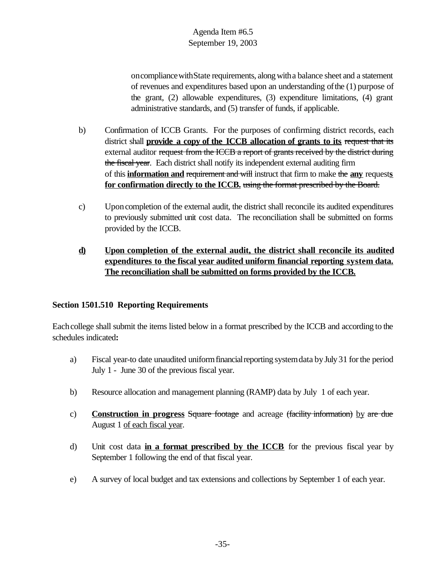on compliance with State requirements, along with a balance sheet and a statement of revenues and expenditures based upon an understanding ofthe (1) purpose of the grant, (2) allowable expenditures, (3) expenditure limitations, (4) grant administrative standards, and (5) transfer of funds, if applicable.

- b) Confirmation of ICCB Grants. For the purposes of confirming district records, each district shall **provide a copy of the ICCB allocation of grants to its** request that its external auditor request from the ICCB a report of grants received by the district during the fiscal year. Each district shall notify its independent external auditing firm of this **information and** requirement and will instruct that firm to make the **any** request**s for confirmation directly to the ICCB.** using the format prescribed by the Board.
- c) Uponcompletion of the external audit, the district shall reconcile its audited expenditures to previously submitted unit cost data. The reconciliation shall be submitted on forms provided by the ICCB.

# **d) Upon completion of the external audit, the district shall reconcile its audited expenditures to the fiscal year audited uniform financial reporting system data. The reconciliation shall be submitted on forms provided by the ICCB.**

# **Section 1501.510 Reporting Requirements**

Each college shall submit the items listed below in a format prescribed by the ICCB and according to the schedules indicated**:**

- a) Fiscal year-to date unaudited uniformfinancialreporting systemdata byJuly 31 forthe period July 1 - June 30 of the previous fiscal year.
- b) Resource allocation and management planning (RAMP) data by July 1 of each year.
- c) **Construction in progress** Square footage and acreage (facility information) by are due August 1 of each fiscal year.
- d) Unit cost data **in a format prescribed by the ICCB** for the previous fiscal year by September 1 following the end of that fiscal year.
- e) A survey of local budget and tax extensions and collections by September 1 of each year.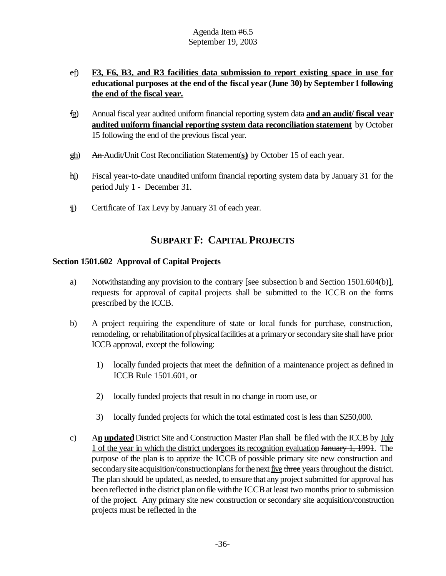- ef) **F3, F6, B3, and R3 facilities data submission to report existing space in use for educational purposes at the end of the fiscal year (June 30) by September1 following the end of the fiscal year.**
- fg) Annual fiscal year audited uniform financial reporting system data **and an audit/ fiscal year audited uniform financial reporting system data reconciliation statement** by October 15 following the end of the previous fiscal year.
- gh) An Audit/Unit Cost Reconciliation Statement(**s)** by October 15 of each year.
- hi) Fiscal year-to-date unaudited uniform financial reporting system data by January 31 for the period July 1 - December 31.
- ij) Certificate of Tax Levy by January 31 of each year.

# **SUBPART F: CAPITAL PROJECTS**

# **Section 1501.602 Approval of Capital Projects**

- a) Notwithstanding any provision to the contrary [see subsection b and Section 1501.604(b)], requests for approval of capital projects shall be submitted to the ICCB on the forms prescribed by the ICCB.
- b) A project requiring the expenditure of state or local funds for purchase, construction, remodeling, or rehabilitation of physical facilities at a primary or secondary site shall have prior ICCB approval, except the following:
	- 1) locally funded projects that meet the definition of a maintenance project as defined in ICCB Rule 1501.601, or
	- 2) locally funded projects that result in no change in room use, or
	- 3) locally funded projects for which the total estimated cost is less than \$250,000.
- c) A**n updated** District Site and Construction Master Plan shall be filed with the ICCB by July 1 of the year in which the district undergoes its recognition evaluation January 1, 1991. The purpose of the plan is to apprize the ICCB of possible primary site new construction and secondary site acquisition/constructionplans for the next five three years throughout the district. The plan should be updated, as needed, to ensure that any project submitted for approval has been reflected in the district plan on file with the ICCB at least two months prior to submission of the project. Any primary site new construction or secondary site acquisition/construction projects must be reflected in the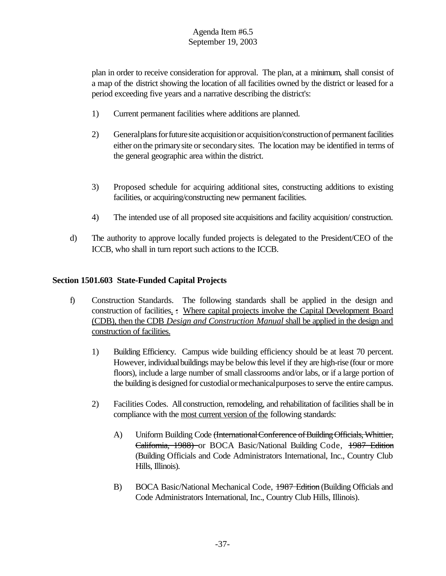plan in order to receive consideration for approval. The plan, at a minimum, shall consist of a map of the district showing the location of all facilities owned by the district or leased for a period exceeding five years and a narrative describing the district's:

- 1) Current permanent facilities where additions are planned.
- 2) General plans for future site acquisition or acquisition/construction of permanent facilities either onthe primarysite orsecondarysites. The location may be identified in terms of the general geographic area within the district.
- 3) Proposed schedule for acquiring additional sites, constructing additions to existing facilities, or acquiring/constructing new permanent facilities.
- 4) The intended use of all proposed site acquisitions and facility acquisition/ construction.
- d) The authority to approve locally funded projects is delegated to the President/CEO of the ICCB, who shall in turn report such actions to the ICCB.

# **Section 1501.603 State-Funded Capital Projects**

- f) Construction Standards. The following standards shall be applied in the design and construction of facilities. : Where capital projects involve the Capital Development Board (CDB), then the CDB *Design and Construction Manual* shall be applied in the design and construction of facilities.
	- 1) Building Efficiency. Campus wide building efficiency should be at least 70 percent. However, individualbuildings maybe belowthislevel if they are high-rise (four or more floors), include a large number of small classrooms and/or labs, or if a large portion of the building is designed for custodialormechanicalpurposesto serve the entire campus.
	- 2) Facilities Codes. All construction, remodeling, and rehabilitation of facilities shall be in compliance with the most current version of the following standards:
		- A) Uniform Building Code (International Conference of Building Officials, Whittier, California, 1988) or BOCA Basic/National Building Code, 1987 Edition (Building Officials and Code Administrators International, Inc., Country Club Hills, Illinois).
		- B) BOCA Basic/National Mechanical Code, 1987 Edition (Building Officials and Code Administrators International, Inc., Country Club Hills, Illinois).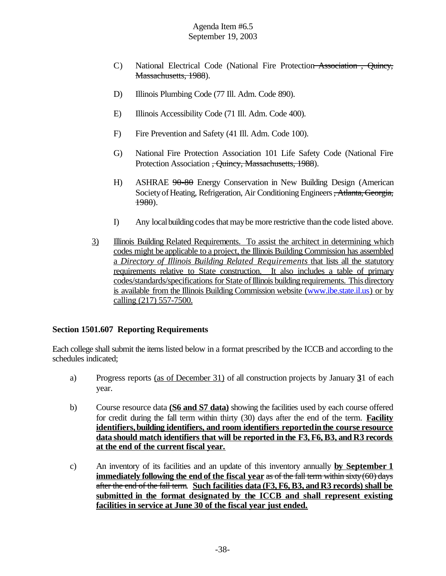- C) National Electrical Code (National Fire Protection Association , Quincy, Massachusetts, 1988).
- D) Illinois Plumbing Code (77 Ill. Adm. Code 890).
- E) Illinois Accessibility Code (71 Ill. Adm. Code 400).
- F) Fire Prevention and Safety (41 Ill. Adm. Code 100).
- G) National Fire Protection Association 101 Life Safety Code (National Fire Protection Association <del>, Quincy, Massachusetts, 1988</del>).
- H) ASHRAE  $90-80$  Energy Conservation in New Building Design (American Society of Heating, Refrigeration, Air Conditioning Engineers, Atlanta, Georgia, 1980).
- I) Any localbuilding codesthat maybe more restrictive thanthe code listed above.
- 3) Illinois Building Related Requirements. To assist the architect in determining which codes might be applicable to a project, the Illinois Building Commission has assembled a *Directory of Illinois Building Related Requirements* that lists all the statutory requirements relative to State construction. It also includes a table of primary codes/standards/specifications for State of Illinois building requirements. This directory is available from the Illinois Building Commission website (www.ibe.state.il.us) or by calling (217) 557-7500.

#### **Section 1501.607 Reporting Requirements**

Each college shall submit the itemslisted below in a format prescribed by the ICCB and according to the schedules indicated;

- a) Progress reports (as of December 31) of all construction projects by January **3**1 of each year.
- b) Course resource data **(S6 and S7 data)** showing the facilities used by each course offered for credit during the fall term within thirty (30) days after the end of the term. **Facility identifiers,building identifiers, and room identifiers reportedin the course resource data should match identifiers that will be reported in the F3, F6, B3, and R3 records at the end of the current fiscal year.**
- c) An inventory of its facilities and an update of this inventory annually **by September 1 immediately following the end of the fiscal year** as of the fall term within sixty(60) days after the end of the fall term. **Such facilities data (F3, F6, B3, and R3 records) shall be submitted in the format designated by the ICCB and shall represent existing facilities in service at June 30 of the fiscal year just ended.**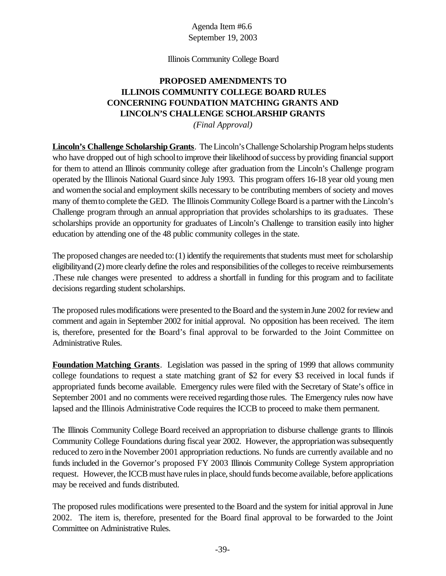#### Illinois Community College Board

# **PROPOSED AMENDMENTS TO ILLINOIS COMMUNITY COLLEGE BOARD RULES CONCERNING FOUNDATION MATCHING GRANTS AND LINCOLN'S CHALLENGE SCHOLARSHIP GRANTS**

*(Final Approval)*

**Lincoln's Challenge Scholarship Grants**. The Lincoln's Challenge Scholarship Program helps students who have dropped out of high school to improve their likelihood of success by providing financial support for them to attend an Illinois community college after graduation from the Lincoln's Challenge program operated by the Illinois National Guard since July 1993. This program offers 16-18 year old young men and womenthe socialand employment skills necessary to be contributing members of society and moves many of themto complete the GED. The Illinois Community College Board is a partner with the Lincoln's Challenge program through an annual appropriation that provides scholarships to its graduates. These scholarships provide an opportunity for graduates of Lincoln's Challenge to transition easily into higher education by attending one of the 48 public community colleges in the state.

The proposed changes are needed to:  $(1)$  identify the requirements that students must meet for scholarship eligibility and (2) more clearly define the roles and responsibilities of the colleges to receive reimbursements .These rule changes were presented to address a shortfall in funding for this program and to facilitate decisions regarding student scholarships.

The proposed rules modifications were presented to the Board and the system in June 2002 for review and comment and again in September 2002 for initial approval. No opposition has been received. The item is, therefore, presented for the Board's final approval to be forwarded to the Joint Committee on Administrative Rules.

**Foundation Matching Grants**. Legislation was passed in the spring of 1999 that allows community college foundations to request a state matching grant of \$2 for every \$3 received in local funds if appropriated funds become available. Emergency rules were filed with the Secretary of State's office in September 2001 and no comments were received regarding those rules. The Emergency rules now have lapsed and the Illinois Administrative Code requires the ICCB to proceed to make them permanent.

The Illinois Community College Board received an appropriation to disburse challenge grants to Illinois Community College Foundations during fiscal year 2002. However, the appropriation was subsequently reduced to zero inthe November 2001 appropriation reductions. No funds are currently available and no funds included in the Governor's proposed FY 2003 Illinois Community College System appropriation request. However, the ICCB must have rules in place, should funds become available, before applications may be received and funds distributed.

The proposed rules modifications were presented to the Board and the system for initial approval in June 2002. The item is, therefore, presented for the Board final approval to be forwarded to the Joint Committee on Administrative Rules.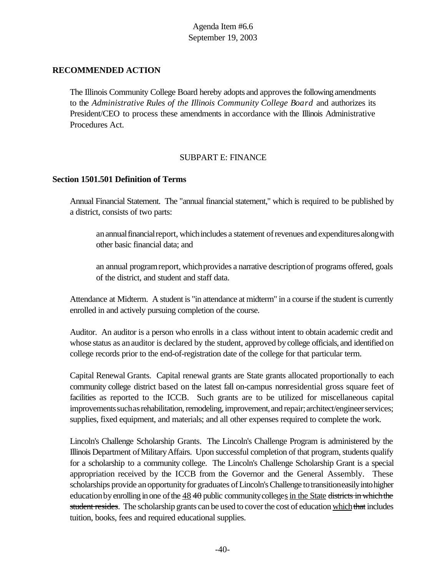## **RECOMMENDED ACTION**

The Illinois Community College Board hereby adopts and approvesthe following amendments to the *Administrative Rules of the Illinois Community College Board* and authorizes its President/CEO to process these amendments in accordance with the Illinois Administrative Procedures Act.

# SUBPART E: FINANCE

#### **Section 1501.501 Definition of Terms**

Annual Financial Statement. The "annual financial statement," which is required to be published by a district, consists of two parts:

an annual financial report, which includes a statement of revenues and expenditures along with other basic financial data; and

an annual program report, which provides a narrative description of programs offered, goals of the district, and student and staff data.

Attendance at Midterm. A student is "in attendance at midterm" in a course if the student is currently enrolled in and actively pursuing completion of the course.

Auditor. An auditor is a person who enrolls in a class without intent to obtain academic credit and whose status as an auditor is declared by the student, approved by college officials, and identified on college records prior to the end-of-registration date of the college for that particular term.

Capital Renewal Grants. Capital renewal grants are State grants allocated proportionally to each community college district based on the latest fall on-campus nonresidential gross square feet of facilities as reported to the ICCB. Such grants are to be utilized for miscellaneous capital improvements such as rehabilitation, remodeling, improvement, and repair; architect/engineer services; supplies, fixed equipment, and materials; and all other expenses required to complete the work.

Lincoln's Challenge Scholarship Grants. The Lincoln's Challenge Program is administered by the Illinois Department of Military Affairs. Upon successful completion of that program, students qualify for a scholarship to a community college. The Lincoln's Challenge Scholarship Grant is a special appropriation received by the ICCB from the Governor and the General Assembly. These scholarships provide an opportunity for graduates of Lincoln's Challenge to transitioneasily into higher education by enrolling in one of the  $48$  40 public community colleges in the State districts in which the student resides. The scholarship grants can be used to cover the cost of education which that includes tuition, books, fees and required educational supplies.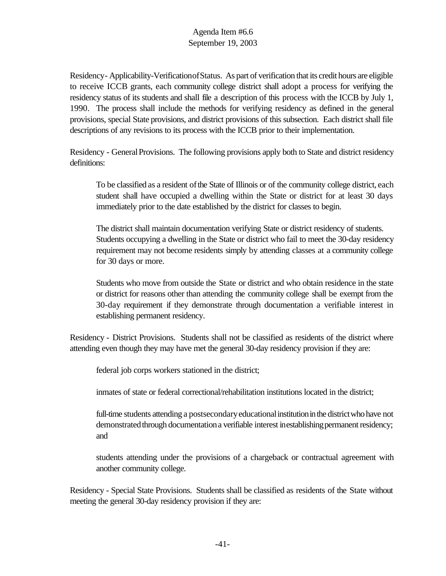Residency- Applicability-VerificationofStatus. As part of verification that its credit hours are eligible to receive ICCB grants, each community college district shall adopt a process for verifying the residency status of its students and shall file a description of this process with the ICCB by July 1, 1990. The process shall include the methods for verifying residency as defined in the general provisions, special State provisions, and district provisions of this subsection. Each district shall file descriptions of any revisions to its process with the ICCB prior to their implementation.

Residency - General Provisions. The following provisions apply both to State and district residency definitions:

To be classified as a resident of the State of Illinois or of the community college district, each student shall have occupied a dwelling within the State or district for at least 30 days immediately prior to the date established by the district for classes to begin.

The district shall maintain documentation verifying State or district residency of students. Students occupying a dwelling in the State or district who fail to meet the 30-day residency requirement may not become residents simply by attending classes at a community college for 30 days or more.

Students who move from outside the State or district and who obtain residence in the state or district for reasons other than attending the community college shall be exempt from the 30-day requirement if they demonstrate through documentation a verifiable interest in establishing permanent residency.

Residency - District Provisions. Students shall not be classified as residents of the district where attending even though they may have met the general 30-day residency provision if they are:

federal job corps workers stationed in the district;

inmates of state or federal correctional/rehabilitation institutions located in the district;

full-time students attending a postsecondary educational institution in the district who have not demonstrated through documentation a verifiable interest inestablishing permanent residency; and

students attending under the provisions of a chargeback or contractual agreement with another community college.

Residency - Special State Provisions. Students shall be classified as residents of the State without meeting the general 30-day residency provision if they are: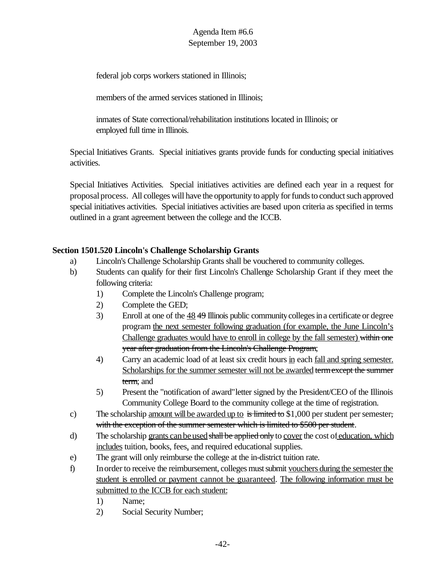federal job corps workers stationed in Illinois;

members of the armed services stationed in Illinois:

inmates of State correctional/rehabilitation institutions located in Illinois; or employed full time in Illinois.

Special Initiatives Grants. Special initiatives grants provide funds for conducting special initiatives activities.

Special Initiatives Activities. Special initiatives activities are defined each year in a request for proposal process. All colleges will have the opportunity to apply for funds to conduct such approved special initiatives activities. Special initiatives activities are based upon criteria as specified in terms outlined in a grant agreement between the college and the ICCB.

# **Section 1501.520 Lincoln's Challenge Scholarship Grants**

- a) Lincoln's Challenge Scholarship Grants shall be vouchered to community colleges.
- b) Students can qualify for their first Lincoln's Challenge Scholarship Grant if they meet the following criteria:
	- 1) Complete the Lincoln's Challenge program;
	- 2) Complete the GED;
	- 3) Enroll at one of the  $\frac{48}{49}$  Illinois public community colleges in a certificate or degree program the next semester following graduation (for example, the June Lincoln's Challenge graduates would have to enroll in college by the fall semester) within one year after graduation from the Lincoln's Challenge Program;
	- 4) Carry an academic load of at least six credit hours in each fall and spring semester. Scholarships for the summer semester will not be awarded term except the summer term; and
	- 5) Present the "notification of award"letter signed by the President/CEO of the Illinois Community College Board to the community college at the time of registration.
- c) The scholarship <u>amount will be awarded up to</u> is limited to \$1,000 per student per semester, with the exception of the summer semester which is limited to \$500 per student.
- d) The scholarship grants can be used shall be applied only to cover the cost of education, which includes tuition, books, fees, and required educational supplies.
- e) The grant will only reimburse the college at the in-district tuition rate.
- f) In order to receive the reimbursement, colleges must submit vouchers during the semester the student is enrolled or payment cannot be guaranteed. The following information must be submitted to the ICCB for each student:
	- 1) Name;
	- 2) Social Security Number;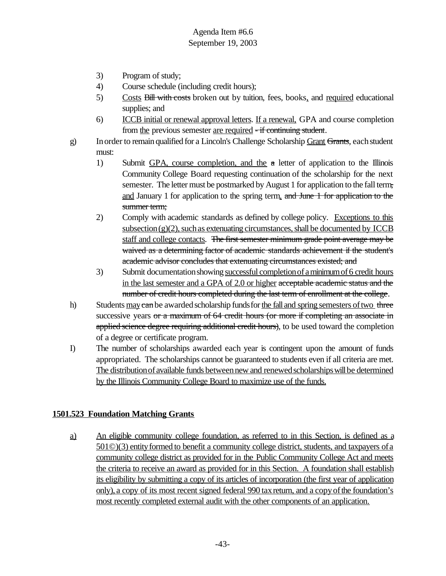- 3) Program of study;
- 4) Course schedule (including credit hours);
- 5) Costs Bill with costs broken out by tuition, fees, books, and required educational supplies; and
- 6) ICCB initial or renewal approval letters. If a renewal, GPA and course completion from the previous semester are required - if continuing student.
- g) In order to remain qualified for a Lincoln's Challenge Scholarship Grant Grants, each student must:
	- 1) Submit GPA, course completion, and the a letter of application to the Illinois Community College Board requesting continuation of the scholarship for the next semester. The letter must be postmarked by August 1 for application to the fall term, and January 1 for application to the spring term. and June 1 for application to the summer term;
	- 2) Comply with academic standards as defined by college policy. Exceptions to this subsection  $(g)(2)$ , such as extenuating circumstances, shall be documented by ICCB staff and college contacts. The first semester minimum grade point average may be waived as a determining factor of academic standards achievement if the student's academic advisor concludes that extenuating circumstances existed; and
	- 3) Submit documentation showing successful completion of a minimum of 6 credit hours in the last semester and a GPA of 2.0 or higher acceptable academic status and the number of credit hours completed during the last term of enrollment at the college.
- h) Students may can be awarded scholarship funds for the fall and spring semesters of two three successive years or a maximum of 64 credit hours (or more if completing an associate in applied science degree requiring additional credit hours), to be used toward the completion of a degree or certificate program.
- I) The number of scholarships awarded each year is contingent upon the amount of funds appropriated. The scholarships cannot be guaranteed to students even if all criteria are met. The distribution of available funds between new and renewed scholarships will be determined by the Illinois Community College Board to maximize use of the funds.

# **1501.523 Foundation Matching Grants**

a) An eligible community college foundation, as referred to in this Section, is defined as a 501©)(3) entityformed to benefit a community college district, students, and taxpayers ofa community college district as provided for in the Public Community College Act and meets the criteria to receive an award as provided for in this Section. A foundation shall establish its eligibility by submitting a copy of its articles of incorporation (the first year of application only), a copy of its most recent signed federal 990 taxreturn, and a copyofthe foundation's most recently completed external audit with the other components of an application.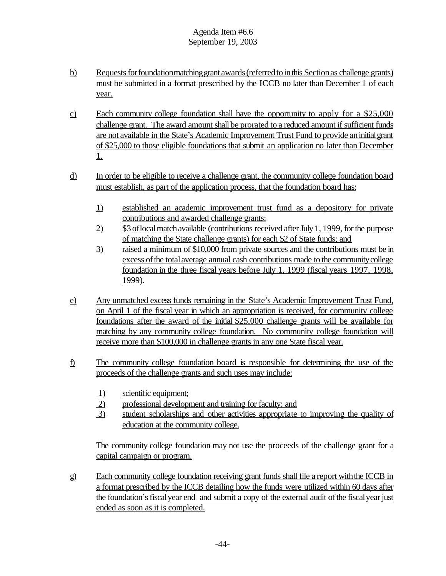- b) Requests for foundationmatching grant awards (referred to in this Section as challenge grants) must be submitted in a format prescribed by the ICCB no later than December 1 of each year.
- c) Each community college foundation shall have the opportunity to apply for a \$25,000 challenge grant. The award amount shall be prorated to a reduced amount if sufficient funds are not available in the State's Academic Improvement Trust Fund to provide aninitialgrant of \$25,000 to those eligible foundations that submit an application no later than December 1.
- d) In order to be eligible to receive a challenge grant, the community college foundation board must establish, as part of the application process, that the foundation board has:
	- 1) established an academic improvement trust fund as a depository for private contributions and awarded challenge grants;
	- 2) \$3 of local match available (contributions received after July 1, 1999, for the purpose of matching the State challenge grants) for each \$2 of State funds; and
	- 3) raised a minimum of \$10,000 from private sources and the contributions must be in excess of the total average annual cash contributions made to the community college foundation in the three fiscal years before July 1, 1999 (fiscal years 1997, 1998, 1999).
- e) Any unmatched excess funds remaining in the State's Academic Improvement Trust Fund, on April 1 of the fiscal year in which an appropriation is received, for community college foundations after the award of the initial \$25,000 challenge grants will be available for matching by any community college foundation. No community college foundation will receive more than \$100,000 in challenge grants in any one State fiscal year.
- f) The community college foundation board is responsible for determining the use of the proceeds of the challenge grants and such uses may include:
	- 1) scientific equipment;
	- 2) professional development and training for faculty; and
	- 3) student scholarships and other activities appropriate to improving the quality of education at the community college.

The community college foundation may not use the proceeds of the challenge grant for a capital campaign or program.

g) Each community college foundation receiving grant funds shall file a report with the ICCB in a format prescribed by the ICCB detailing how the funds were utilized within 60 days after the foundation's fiscal year end and submit a copy of the external audit of the fiscal year just ended as soon as it is completed.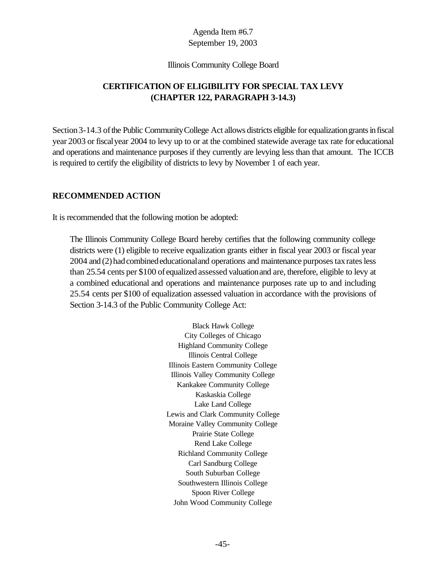#### Illinois Community College Board

# **CERTIFICATION OF ELIGIBILITY FOR SPECIAL TAX LEVY (CHAPTER 122, PARAGRAPH 3-14.3)**

Section 3-14.3 of the Public Community College Act allows districts eligible for equalization grants in fiscal year 2003 or fiscalyear 2004 to levy up to or at the combined statewide average tax rate for educational and operations and maintenance purposes if they currently are levying less than that amount. The ICCB is required to certify the eligibility of districts to levy by November 1 of each year.

## **RECOMMENDED ACTION**

It is recommended that the following motion be adopted:

The Illinois Community College Board hereby certifies that the following community college districts were (1) eligible to receive equalization grants either in fiscal year 2003 or fiscal year 2004 and (2) had combined educational and operations and maintenance purposes tax rates less than 25.54 cents per \$100 of equalized assessed valuationand are, therefore, eligible to levy at a combined educational and operations and maintenance purposes rate up to and including 25.54 cents per \$100 of equalization assessed valuation in accordance with the provisions of Section 3-14.3 of the Public Community College Act:

> Black Hawk College City Colleges of Chicago Highland Community College Illinois Central College Illinois Eastern Community College Illinois Valley Community College Kankakee Community College Kaskaskia College Lake Land College Lewis and Clark Community College Moraine Valley Community College Prairie State College Rend Lake College Richland Community College Carl Sandburg College South Suburban College Southwestern Illinois College Spoon River College John Wood Community College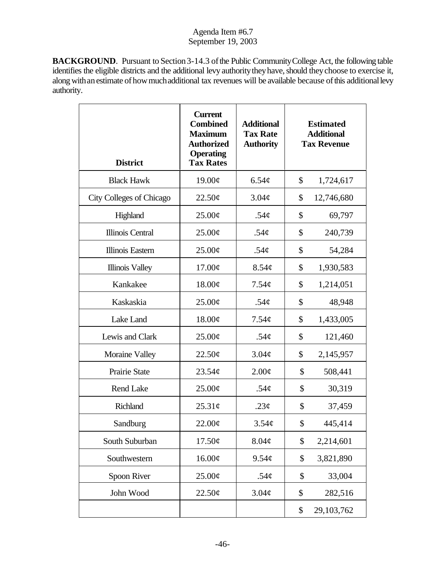**BACKGROUND**. Pursuant to Section 3-14.3 of the Public Community College Act, the following table identifies the eligible districts and the additional levy authority they have, should they choose to exercise it, along with an estimate of how much additional tax revenues will be available because of this additional levy authority.

| <b>District</b>          | <b>Current</b><br><b>Combined</b><br><b>Maximum</b><br><b>Authorized</b><br><b>Operating</b><br><b>Tax Rates</b> | <b>Additional</b><br><b>Tax Rate</b><br><b>Authority</b> | <b>Estimated</b><br><b>Additional</b><br><b>Tax Revenue</b> |            |
|--------------------------|------------------------------------------------------------------------------------------------------------------|----------------------------------------------------------|-------------------------------------------------------------|------------|
| <b>Black Hawk</b>        | 19.00¢                                                                                                           | $6.54\phi$                                               | \$                                                          | 1,724,617  |
| City Colleges of Chicago | 22.50¢                                                                                                           | 3.04¢                                                    | \$                                                          | 12,746,680 |
| Highland                 | $25.00\phi$                                                                                                      | .54 $\phi$                                               | \$                                                          | 69,797     |
| Illinois Central         | $25.00\phi$                                                                                                      | .54 $\phi$                                               | \$                                                          | 240,739    |
| <b>Illinois Eastern</b>  | 25.00¢                                                                                                           | .54 $\phi$                                               | \$                                                          | 54,284     |
| <b>Illinois Valley</b>   | 17.00¢                                                                                                           | 8.54 <sub>c</sub>                                        | \$                                                          | 1,930,583  |
| Kankakee                 | 18.00¢                                                                                                           | $7.54\phi$                                               | \$                                                          | 1,214,051  |
| Kaskaskia                | $25.00\phi$                                                                                                      | .54 $\phi$                                               | \$                                                          | 48,948     |
| Lake Land                | 18.00¢                                                                                                           | $7.54\phi$                                               | \$                                                          | 1,433,005  |
| Lewis and Clark          | $25.00\phi$                                                                                                      | .54 $\phi$                                               | \$                                                          | 121,460    |
| Moraine Valley           | 22.50¢                                                                                                           | $3.04\phi$                                               | \$                                                          | 2,145,957  |
| Prairie State            | 23.54¢                                                                                                           | 2.00¢                                                    | \$                                                          | 508,441    |
| <b>Rend Lake</b>         | $25.00\phi$                                                                                                      | .54 $\phi$                                               | \$                                                          | 30,319     |
| <b>Richland</b>          | 25.31¢                                                                                                           | .23 $\phi$                                               | \$                                                          | 37,459     |
| Sandburg                 | 22.00¢                                                                                                           | 3.54¢                                                    | \$                                                          | 445,414    |
| South Suburban           | 17.50¢                                                                                                           | 8.04¢                                                    | \$                                                          | 2,214,601  |
| Southwestern             | 16.00¢                                                                                                           | 9.54 <sub>c</sub>                                        | \$                                                          | 3,821,890  |
| Spoon River              | 25.00¢                                                                                                           | .54 $\phi$                                               | \$                                                          | 33,004     |
| John Wood                | 22.50¢                                                                                                           | 3.04¢                                                    | \$                                                          | 282,516    |
|                          |                                                                                                                  |                                                          | \$                                                          | 29,103,762 |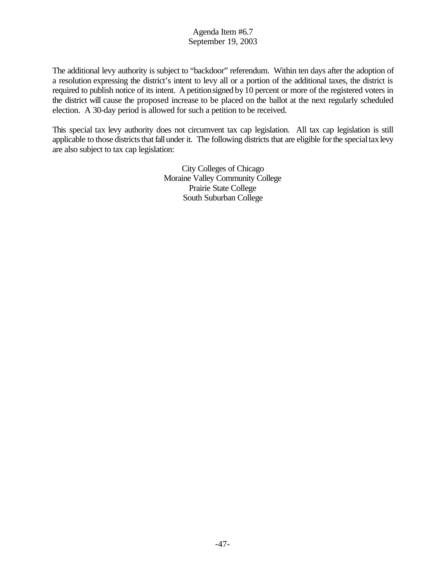The additional levy authority is subject to "backdoor" referendum. Within ten days after the adoption of a resolution expressing the district's intent to levy all or a portion of the additional taxes, the district is required to publish notice of its intent. A petitionsigned by10 percent or more of the registered voters in the district will cause the proposed increase to be placed on the ballot at the next regularly scheduled election. A 30-day period is allowed for such a petition to be received.

This special tax levy authority does not circumvent tax cap legislation. All tax cap legislation is still applicable to those districts that fall under it. The following districts that are eligible for the special tax levy are also subject to tax cap legislation:

> City Colleges of Chicago Moraine Valley Community College Prairie State College South Suburban College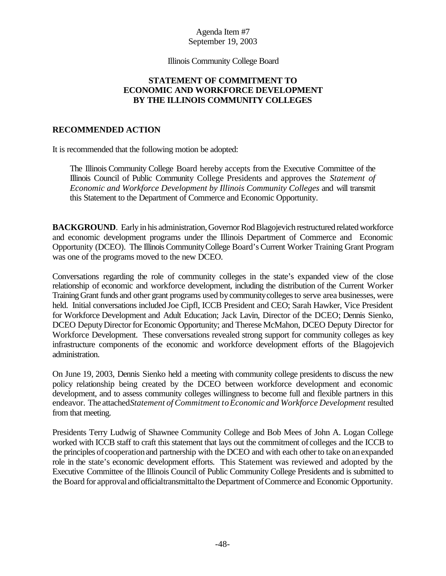#### Illinois Community College Board

## **STATEMENT OF COMMITMENT TO ECONOMIC AND WORKFORCE DEVELOPMENT BY THE ILLINOIS COMMUNITY COLLEGES**

## **RECOMMENDED ACTION**

It is recommended that the following motion be adopted:

The Illinois Community College Board hereby accepts from the Executive Committee of the Illinois Council of Public Community College Presidents and approves the *Statement of Economic and Workforce Development by Illinois Community Colleges* and will transmit this Statement to the Department of Commerce and Economic Opportunity.

**BACKGROUND**. Early in his administration, Governor Rod Blagojevich restructured related workforce and economic development programs under the Illinois Department of Commerce and Economic Opportunity (DCEO). The Illinois CommunityCollege Board's Current Worker Training Grant Program was one of the programs moved to the new DCEO.

Conversations regarding the role of community colleges in the state's expanded view of the close relationship of economic and workforce development, including the distribution of the Current Worker TrainingGrant funds and other grant programs used bycommunitycollegesto serve area businesses, were held. Initial conversations included Joe Cipfl, ICCB President and CEO; Sarah Hawker, Vice President for Workforce Development and Adult Education; Jack Lavin, Director of the DCEO; Dennis Sienko, DCEO Deputy Director for Economic Opportunity; and Therese McMahon, DCEO Deputy Director for Workforce Development. These conversations revealed strong support for community colleges as key infrastructure components of the economic and workforce development efforts of the Blagojevich administration.

On June 19, 2003, Dennis Sienko held a meeting with community college presidents to discuss the new policy relationship being created by the DCEO between workforce development and economic development, and to assess community colleges willingness to become full and flexible partners in this endeavor. The attached *Statement of Commitment toEconomic and Workforce Development* resulted from that meeting.

Presidents Terry Ludwig of Shawnee Community College and Bob Mees of John A. Logan College worked with ICCB staff to craft this statement that lays out the commitment of colleges and the ICCB to the principles of cooperation and partnership with the DCEO and with each other to take on an expanded role in the state's economic development efforts. This Statement was reviewed and adopted by the Executive Committee of the Illinois Council of Public Community College Presidents and is submitted to the Board for approval and official transmittal to the Department of Commerce and Economic Opportunity.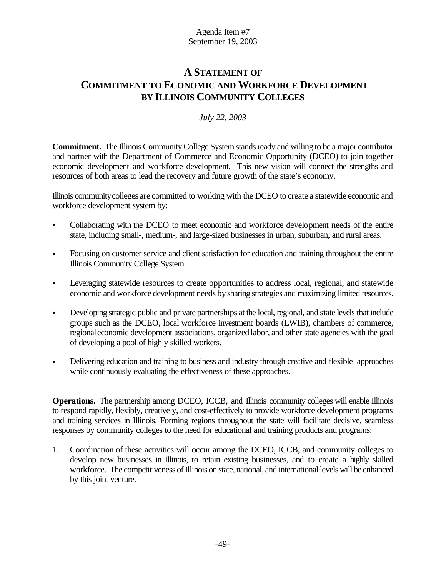# **A STATEMENT OF COMMITMENT TO ECONOMIC AND WORKFORCE DEVELOPMENT BY ILLINOIS COMMUNITY COLLEGES**

# *July 22, 2003*

**Commitment.** The Illinois Community College System stands ready and willing to be a major contributor and partner with the Department of Commerce and Economic Opportunity (DCEO) to join together economic development and workforce development. This new vision will connect the strengths and resources of both areas to lead the recovery and future growth of the state's economy.

Illinois communitycolleges are committed to working with the DCEO to create a statewide economic and workforce development system by:

- Collaborating with the DCEO to meet economic and workforce development needs of the entire state, including small-, medium-, and large-sized businesses in urban, suburban, and rural areas.
- Focusing on customer service and client satisfaction for education and training throughout the entire Illinois Community College System.
- Leveraging statewide resources to create opportunities to address local, regional, and statewide economic and workforce development needs bysharing strategies and maximizing limited resources.
- Developing strategic public and private partnerships at the local, regional, and state levels that include groups such as the DCEO, local workforce investment boards (LWIB), chambers of commerce, regionaleconomic development associations, organized labor, and other state agencies with the goal of developing a pool of highly skilled workers.
- Delivering education and training to business and industry through creative and flexible approaches while continuously evaluating the effectiveness of these approaches.

**Operations.** The partnership among DCEO, ICCB, and Illinois community colleges will enable Illinois to respond rapidly, flexibly, creatively, and cost-effectively to provide workforce development programs and training services in Illinois. Forming regions throughout the state will facilitate decisive, seamless responses by community colleges to the need for educational and training products and programs:

1. Coordination of these activities will occur among the DCEO, ICCB, and community colleges to develop new businesses in Illinois, to retain existing businesses, and to create a highly skilled workforce. The competitiveness of Illinois on state, national, and international levels will be enhanced by this joint venture.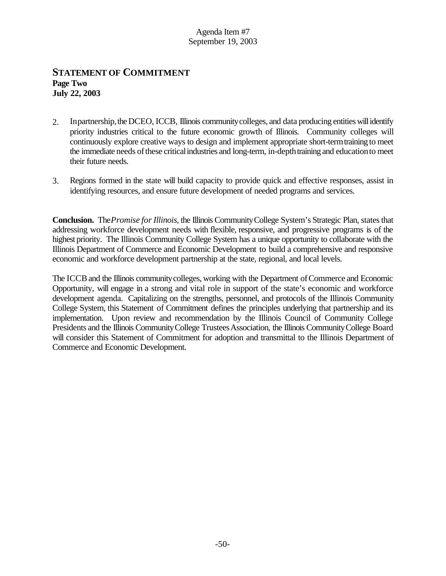# **STATEMENT OF COMMITMENT Page Two July 22, 2003**

- 2. Inpartnership, the DCEO, ICCB, Illinois community colleges, and data producing entities will identify priority industries critical to the future economic growth of Illinois. Community colleges will continuously explore creative ways to design and implement appropriate short-termtraining to meet the immediate needs ofthese criticalindustries and long-term, in-depthtraining and educationto meet their future needs.
- 3. Regions formed in the state will build capacity to provide quick and effective responses, assist in identifying resources, and ensure future development of needed programs and services.

**Conclusion.** The *Promise forIllinois*, the Illinois CommunityCollege System's Strategic Plan, statesthat addressing workforce development needs with flexible, responsive, and progressive programs is of the highest priority. The Illinois Community College System has a unique opportunity to collaborate with the Illinois Department of Commerce and Economic Development to build a comprehensive and responsive economic and workforce development partnership at the state, regional, and local levels.

The ICCBand the Illinois communitycolleges, working with the Department ofCommerce and Economic Opportunity, will engage in a strong and vital role in support of the state's economic and workforce development agenda. Capitalizing on the strengths, personnel, and protocols of the Illinois Community College System, this Statement of Commitment defines the principles underlying that partnership and its implementation. Upon review and recommendation by the Illinois Council of Community College Presidents and the Illinois Community College Trustees Association, the Illinois Community College Board will consider this Statement of Commitment for adoption and transmittal to the Illinois Department of Commerce and Economic Development.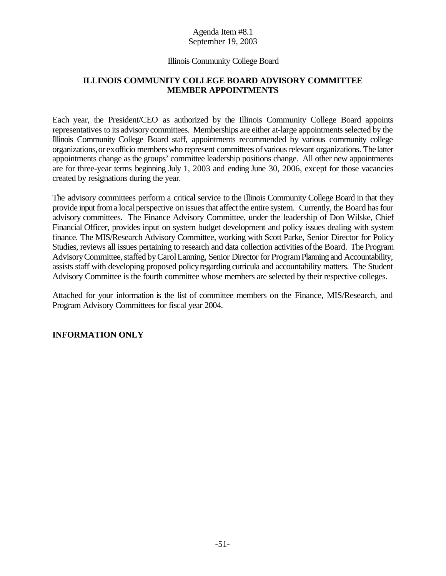#### Illinois Community College Board

# **ILLINOIS COMMUNITY COLLEGE BOARD ADVISORY COMMITTEE MEMBER APPOINTMENTS**

Each year, the President/CEO as authorized by the Illinois Community College Board appoints representatives to its advisorycommittees. Memberships are either at-large appointments selected by the Illinois Community College Board staff, appointments recommended by various community college organizations,or exofficio members who represent committees ofvarious relevant organizations. The latter appointments change asthe groups' committee leadership positions change. All other new appointments are for three-year terms beginning July 1, 2003 and ending June 30, 2006, except for those vacancies created by resignations during the year.

The advisory committees perform a critical service to the Illinois Community College Board in that they provide input from a local perspective on issues that affect the entire system. Currently, the Board has four advisory committees. The Finance Advisory Committee, under the leadership of Don Wilske, Chief Financial Officer, provides input on system budget development and policy issues dealing with system finance. The MIS/Research Advisory Committee, working with Scott Parke, Senior Director for Policy Studies, reviews all issues pertaining to research and data collection activities ofthe Board. The Program Advisory Committee, staffed by Carol Lanning, Senior Director for Program Planning and Accountability, assists staff with developing proposed policyregarding curricula and accountability matters. The Student Advisory Committee is the fourth committee whose members are selected by their respective colleges.

Attached for your information is the list of committee members on the Finance, MIS/Research, and Program Advisory Committees for fiscal year 2004.

# **INFORMATION ONLY**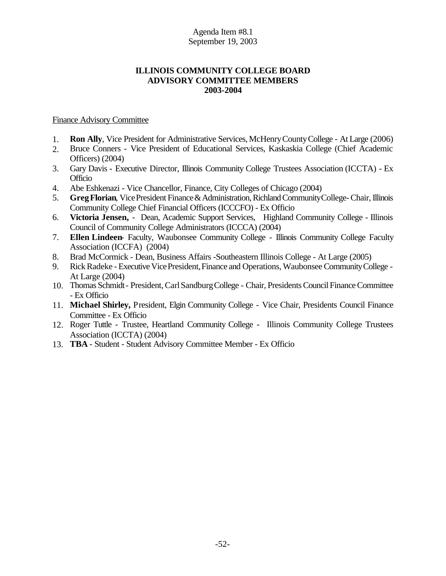# **ILLINOIS COMMUNITY COLLEGE BOARD ADVISORY COMMITTEE MEMBERS 2003-2004**

## Finance Advisory Committee

- 1. **Ron Ally**, Vice President for Administrative Services, McHenryCountyCollege At Large (2006)
- 2. Bruce Conners Vice President of Educational Services, Kaskaskia College (Chief Academic Officers) (2004)
- 3. Gary Davis Executive Director, Illinois Community College Trustees Association (ICCTA) Ex Officio
- 4. Abe Eshkenazi Vice Chancellor, Finance, City Colleges of Chicago (2004)
- 5. **Greg Florian**, Vice President Finance & Administration, Richland Community College-Chair, Illinois Community College Chief Financial Officers (ICCCFO) - Ex Officio
- 6. **Victoria Jensen,** Dean, Academic Support Services, Highland Community College Illinois Council of Community College Administrators (ICCCA) (2004)
- 7. **Ellen Lindeen** Faculty, Waubonsee Community College Illinois Community College Faculty Association (ICCFA) (2004)
- 8. Brad McCormick Dean, Business Affairs -Southeastern Illinois College At Large (2005)
- 9. Rick Radeke Executive Vice President, Finance and Operations, Waubonsee Community College -At Large (2004)
- 10. Thomas Schmidt President, Carl Sandburg College Chair, Presidents Council Finance Committee - Ex Officio
- 11. **Michael Shirley,** President, Elgin Community College Vice Chair, Presidents Council Finance Committee - Ex Officio
- 12. Roger Tuttle Trustee, Heartland Community College Illinois Community College Trustees Association (ICCTA) (2004)
- 13. **TBA** Student Student Advisory Committee Member Ex Officio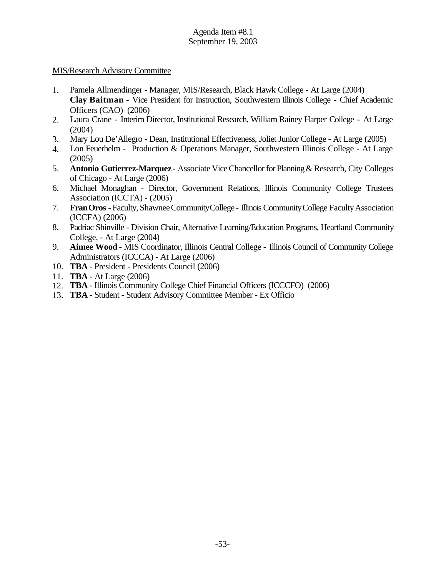## MIS/Research Advisory Committee

- 1. Pamela Allmendinger Manager, MIS/Research, Black Hawk College At Large (2004) **Clay Baitman** - Vice President for Instruction, Southwestern Illinois College - Chief Academic Officers (CAO) (2006)
- 2. Laura Crane Interim Director, Institutional Research, William Rainey Harper College At Large (2004)
- 3. Mary Lou De'Allegro Dean, Institutional Effectiveness, Joliet Junior College At Large (2005)
- 4. Lon Feuerhelm Production & Operations Manager, Southwestern Illinois College At Large (2005)
- 5. **Antonio Gutierrez-Marquez** Associate Vice Chancellor for Planning & Research, City Colleges of Chicago - At Large (2006)
- 6. Michael Monaghan Director, Government Relations, Illinois Community College Trustees Association (ICCTA) - (2005)
- 7. **Fran Oros** Faculty, Shawnee Community College Illinois Community College Faculty Association (ICCFA) (2006)
- 8. Padriac Shinville Division Chair, Alternative Learning/Education Programs, Heartland Community College, - At Large (2004)
- 9. **Aimee Wood** MIS Coordinator, Illinois Central College Illinois Council of Community College Administrators (ICCCA) - At Large (2006)
- 10. **TBA** President Presidents Council (2006)
- 11. **TBA** At Large (2006)
- 12. **TBA** Illinois Community College Chief Financial Officers (ICCCFO) (2006)
- 13. **TBA** Student Student Advisory Committee Member Ex Officio